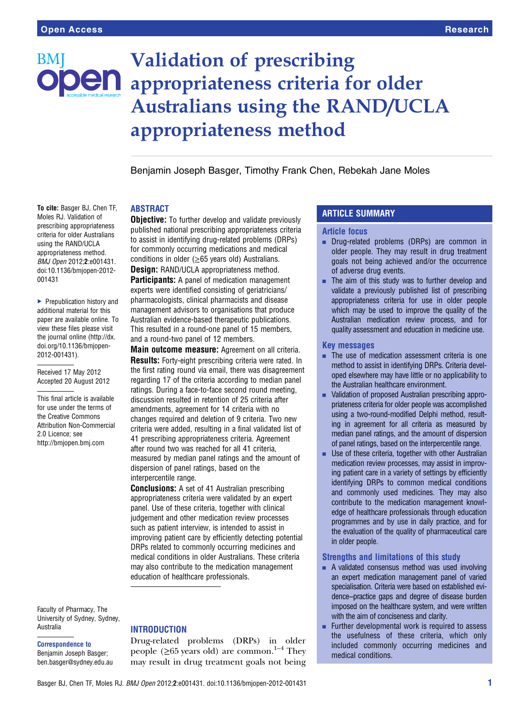# BM

# Validation of prescribing **DEN** appropriateness criteria for older Australians using the RAND/UCLA appropriateness method

Benjamin Joseph Basger, Timothy Frank Chen, Rebekah Jane Moles

To cite: Basger BJ, Chen TF, Moles RJ. Validation of prescribing appropriateness criteria for older Australians using the RAND/UCLA appropriateness method. BMJ Open 2012;2:e001431. doi:10.1136/bmjopen-2012- 001431

▶ Prepublication history and additional material for this paper are available online. To view these files please visit the journal online ([http://dx.](http://bmjopen.bmj.com) [doi.org/10.1136/bmjopen-](http://bmjopen.bmj.com)[2012-001431](http://bmjopen.bmj.com)).

Received 17 May 2012 Accepted 20 August 2012

This final article is available for use under the terms of the Creative Commons Attribution Non-Commercial 2.0 Licence; see <http://bmjopen.bmj.com>

ABSTRACT

**Objective:** To further develop and validate previously published national prescribing appropriateness criteria to assist in identifying drug-related problems (DRPs) for commonly occurring medications and medical conditions in older ( $\geq$ 65 years old) Australians. **Design: RAND/UCLA appropriateness method. Participants:** A panel of medication management experts were identified consisting of geriatricians/ pharmacologists, clinical pharmacists and disease management advisors to organisations that produce Australian evidence-based therapeutic publications. This resulted in a round-one panel of 15 members, and a round-two panel of 12 members.

Main outcome measure: Agreement on all criteria. Results: Forty-eight prescribing criteria were rated. In the first rating round via email, there was disagreement regarding 17 of the criteria according to median panel ratings. During a face-to-face second round meeting, discussion resulted in retention of 25 criteria after amendments, agreement for 14 criteria with no changes required and deletion of 9 criteria. Two new criteria were added, resulting in a final validated list of 41 prescribing appropriateness criteria. Agreement after round two was reached for all 41 criteria, measured by median panel ratings and the amount of dispersion of panel ratings, based on the interpercentile range.

Conclusions: A set of 41 Australian prescribing appropriateness criteria were validated by an expert panel. Use of these criteria, together with clinical judgement and other medication review processes such as patient interview, is intended to assist in improving patient care by efficiently detecting potential DRPs related to commonly occurring medicines and medical conditions in older Australians. These criteria may also contribute to the medication management education of healthcare professionals.

Faculty of Pharmacy, The University of Sydney, Sydney, Australia

#### Correspondence to Benjamin Joseph Basger; ben.basger@sydney.edu.au

# **INTRODUCTION**

Drug-related problems (DRPs) in older people ( $\geq 65$  years old) are common.<sup>1–4</sup> They may result in drug treatment goals not being

# ARTICLE SUMMARY

#### Article focus

- **Drug-related problems (DRPs) are common in** older people. They may result in drug treatment goals not being achieved and/or the occurrence of adverse drug events.
- $\blacksquare$  The aim of this study was to further develop and validate a previously published list of prescribing appropriateness criteria for use in older people which may be used to improve the quality of the Australian medication review process, and for quality assessment and education in medicine use.

#### Key messages

- **EXECUTE:** The use of medication assessment criteria is one method to assist in identifying DRPs. Criteria developed elsewhere may have little or no applicability to the Australian healthcare environment.
- Validation of proposed Australian prescribing appropriateness criteria for older people was accomplished using a two-round-modified Delphi method, resulting in agreement for all criteria as measured by median panel ratings, and the amount of dispersion of panel ratings, based on the interpercentile range.
- $\blacksquare$  Use of these criteria, together with other Australian medication review processes, may assist in improving patient care in a variety of settings by efficiently identifying DRPs to common medical conditions and commonly used medicines. They may also contribute to the medication management knowledge of healthcare professionals through education programmes and by use in daily practice, and for the evaluation of the quality of pharmaceutical care in older people.

#### Strengths and limitations of this study

- $\blacksquare$  A validated consensus method was used involving an expert medication management panel of varied specialisation. Criteria were based on established evidence–practice gaps and degree of disease burden imposed on the healthcare system, and were written with the aim of conciseness and clarity.
- Further developmental work is required to assess the usefulness of these criteria, which only included commonly occurring medicines and medical conditions.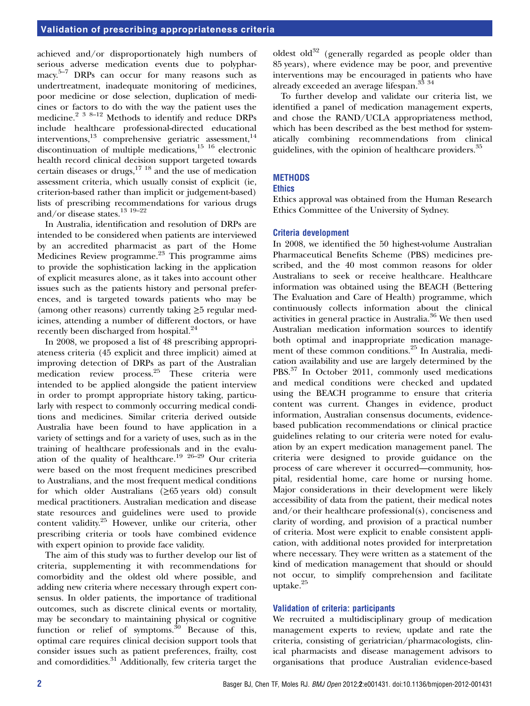# Validation of prescribing appropriateness criteria

achieved and/or disproportionately high numbers of serious adverse medication events due to polypharmacy.<sup>5-7</sup> DRPs can occur for many reasons such as undertreatment, inadequate monitoring of medicines, poor medicine or dose selection, duplication of medicines or factors to do with the way the patient uses the medicine.<sup>2 3 8–12</sup> Methods to identify and reduce DRPs include healthcare professional-directed educational interventions, $^{13}$  comprehensive geriatric assessment, $^{14}$ discontinuation of multiple medications, $15 \tcdot 16$  electronic health record clinical decision support targeted towards certain diseases or drugs, $17 \text{ } 18$  and the use of medication assessment criteria, which usually consist of explicit (ie, criterion-based rather than implicit or judgement-based) lists of prescribing recommendations for various drugs and/or disease states.13 19–<sup>22</sup>

In Australia, identification and resolution of DRPs are intended to be considered when patients are interviewed by an accredited pharmacist as part of the Home Medicines Review programme.23 This programme aims to provide the sophistication lacking in the application of explicit measures alone, as it takes into account other issues such as the patients history and personal preferences, and is targeted towards patients who may be (among other reasons) currently taking  $\geq$ 5 regular medicines, attending a number of different doctors, or have recently been discharged from hospital.<sup>24</sup>

In 2008, we proposed a list of 48 prescribing appropriateness criteria (45 explicit and three implicit) aimed at improving detection of DRPs as part of the Australian medication review process. $25\frac{1}{25}$  These criteria were intended to be applied alongside the patient interview in order to prompt appropriate history taking, particularly with respect to commonly occurring medical conditions and medicines. Similar criteria derived outside Australia have been found to have application in a variety of settings and for a variety of uses, such as in the training of healthcare professionals and in the evaluation of the quality of healthcare.<sup>19</sup>  $26-29$  Our criteria were based on the most frequent medicines prescribed to Australians, and the most frequent medical conditions for which older Australians  $(\geq 65 \text{ years}$  old) consult medical practitioners. Australian medication and disease state resources and guidelines were used to provide content validity.25 However, unlike our criteria, other prescribing criteria or tools have combined evidence with expert opinion to provide face validity.

The aim of this study was to further develop our list of criteria, supplementing it with recommendations for comorbidity and the oldest old where possible, and adding new criteria where necessary through expert consensus. In older patients, the importance of traditional outcomes, such as discrete clinical events or mortality, may be secondary to maintaining physical or cognitive function or relief of symptoms. $30$  Because of this, optimal care requires clinical decision support tools that consider issues such as patient preferences, frailty, cost and comordidities.31 Additionally, few criteria target the

oldest old $32$  (generally regarded as people older than 85 years), where evidence may be poor, and preventive interventions may be encouraged in patients who have already exceeded an average lifespan.<sup>33</sup> <sup>34</sup>

To further develop and validate our criteria list, we identified a panel of medication management experts, and chose the RAND/UCLA appropriateness method, which has been described as the best method for systematically combining recommendations from clinical guidelines, with the opinion of healthcare providers.<sup>35</sup>

#### **METHODS**

# **Ethics**

Ethics approval was obtained from the Human Research Ethics Committee of the University of Sydney.

#### Criteria development

In 2008, we identified the 50 highest-volume Australian Pharmaceutical Benefits Scheme (PBS) medicines prescribed, and the 40 most common reasons for older Australians to seek or receive healthcare. Healthcare information was obtained using the BEACH (Bettering The Evaluation and Care of Health) programme, which continuously collects information about the clinical activities in general practice in Australia.<sup>36</sup> We then used Australian medication information sources to identify both optimal and inappropriate medication management of these common conditions.<sup>25</sup> In Australia, medication availability and use are largely determined by the PBS.<sup>37</sup> In October 2011, commonly used medications and medical conditions were checked and updated using the BEACH programme to ensure that criteria content was current. Changes in evidence, product information, Australian consensus documents, evidencebased publication recommendations or clinical practice guidelines relating to our criteria were noted for evaluation by an expert medication management panel. The criteria were designed to provide guidance on the process of care wherever it occurred—community, hospital, residential home, care home or nursing home. Major considerations in their development were likely accessibility of data from the patient, their medical notes and/or their healthcare professional(s), conciseness and clarity of wording, and provision of a practical number of criteria. Most were explicit to enable consistent application, with additional notes provided for interpretation where necessary. They were written as a statement of the kind of medication management that should or should not occur, to simplify comprehension and facilitate uptake.25

#### Validation of criteria: participants

We recruited a multidisciplinary group of medication management experts to review, update and rate the criteria, consisting of geriatrician/pharmacologists, clinical pharmacists and disease management advisors to organisations that produce Australian evidence-based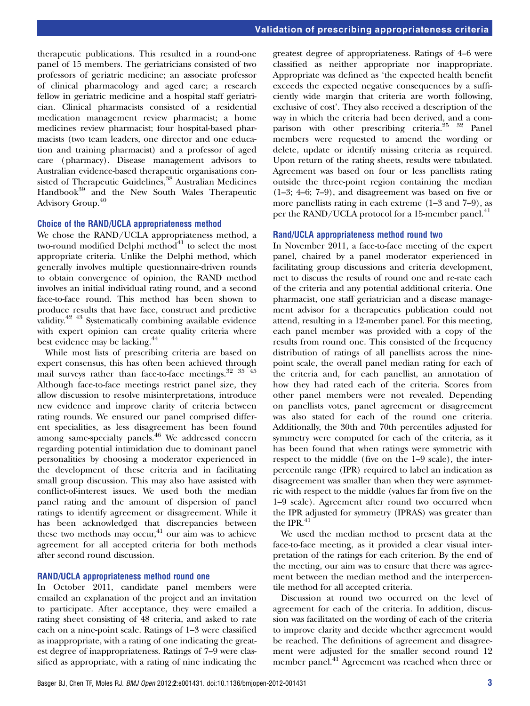therapeutic publications. This resulted in a round-one panel of 15 members. The geriatricians consisted of two professors of geriatric medicine; an associate professor of clinical pharmacology and aged care; a research fellow in geriatric medicine and a hospital staff geriatrician. Clinical pharmacists consisted of a residential medication management review pharmacist; a home medicines review pharmacist; four hospital-based pharmacists (two team leaders, one director and one education and training pharmacist) and a professor of aged care (pharmacy). Disease management advisors to Australian evidence-based therapeutic organisations consisted of Therapeutic Guidelines,<sup>38</sup> Australian Medicines Handbook<sup>39</sup> and the New South Wales Therapeutic Advisory Group.<sup>40</sup>

# Choice of the RAND/UCLA appropriateness method

We chose the RAND/UCLA appropriateness method, a two-round modified Delphi method $41$  to select the most appropriate criteria. Unlike the Delphi method, which generally involves multiple questionnaire-driven rounds to obtain convergence of opinion, the RAND method involves an initial individual rating round, and a second face-to-face round. This method has been shown to produce results that have face, construct and predictive validity.42 43 Systematically combining available evidence with expert opinion can create quality criteria where best evidence may be lacking.<sup>44</sup>

While most lists of prescribing criteria are based on expert consensus, this has often been achieved through mail surveys rather than face-to-face meetings.<sup>32</sup> <sup>35</sup><sup>45</sup> Although face-to-face meetings restrict panel size, they allow discussion to resolve misinterpretations, introduce new evidence and improve clarity of criteria between rating rounds. We ensured our panel comprised different specialities, as less disagreement has been found among same-specialty panels.<sup>46</sup> We addressed concern regarding potential intimidation due to dominant panel personalities by choosing a moderator experienced in the development of these criteria and in facilitating small group discussion. This may also have assisted with conflict-of-interest issues. We used both the median panel rating and the amount of dispersion of panel ratings to identify agreement or disagreement. While it has been acknowledged that discrepancies between these two methods may occur, $41$  our aim was to achieve agreement for all accepted criteria for both methods after second round discussion.

#### RAND/UCLA appropriateness method round one

In October 2011, candidate panel members were emailed an explanation of the project and an invitation to participate. After acceptance, they were emailed a rating sheet consisting of 48 criteria, and asked to rate each on a nine-point scale. Ratings of 1–3 were classified as inappropriate, with a rating of one indicating the greatest degree of inappropriateness. Ratings of 7–9 were classified as appropriate, with a rating of nine indicating the greatest degree of appropriateness. Ratings of 4–6 were classified as neither appropriate nor inappropriate. Appropriate was defined as 'the expected health benefit exceeds the expected negative consequences by a sufficiently wide margin that criteria are worth following, exclusive of cost'. They also received a description of the way in which the criteria had been derived, and a comparison with other prescribing criteria.<sup>25</sup> <sup>32</sup> Panel members were requested to amend the wording or delete, update or identify missing criteria as required. Upon return of the rating sheets, results were tabulated. Agreement was based on four or less panellists rating outside the three-point region containing the median (1–3; 4–6; 7–9), and disagreement was based on five or more panellists rating in each extreme (1–3 and 7–9), as per the RAND/UCLA protocol for a 15-member panel.<sup>41</sup>

#### Rand/UCLA appropriateness method round two

In November 2011, a face-to-face meeting of the expert panel, chaired by a panel moderator experienced in facilitating group discussions and criteria development, met to discuss the results of round one and re-rate each of the criteria and any potential additional criteria. One pharmacist, one staff geriatrician and a disease management advisor for a therapeutics publication could not attend, resulting in a 12-member panel. For this meeting, each panel member was provided with a copy of the results from round one. This consisted of the frequency distribution of ratings of all panellists across the ninepoint scale, the overall panel median rating for each of the criteria and, for each panellist, an annotation of how they had rated each of the criteria. Scores from other panel members were not revealed. Depending on panellists votes, panel agreement or disagreement was also stated for each of the round one criteria. Additionally, the 30th and 70th percentiles adjusted for symmetry were computed for each of the criteria, as it has been found that when ratings were symmetric with respect to the middle (five on the 1–9 scale), the interpercentile range (IPR) required to label an indication as disagreement was smaller than when they were asymmetric with respect to the middle (values far from five on the 1–9 scale). Agreement after round two occurred when the IPR adjusted for symmetry (IPRAS) was greater than the IPR $^{41}$ 

We used the median method to present data at the face-to-face meeting, as it provided a clear visual interpretation of the ratings for each criterion. By the end of the meeting, our aim was to ensure that there was agreement between the median method and the interpercentile method for all accepted criteria.

Discussion at round two occurred on the level of agreement for each of the criteria. In addition, discussion was facilitated on the wording of each of the criteria to improve clarity and decide whether agreement would be reached. The definitions of agreement and disagreement were adjusted for the smaller second round 12 member panel.<sup>41</sup> Agreement was reached when three or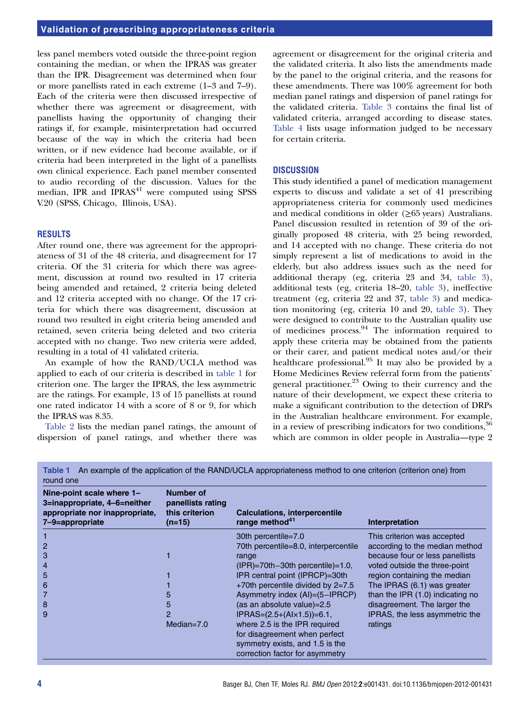less panel members voted outside the three-point region containing the median, or when the IPRAS was greater than the IPR. Disagreement was determined when four or more panellists rated in each extreme (1–3 and 7–9). Each of the criteria were then discussed irrespective of whether there was agreement or disagreement, with panellists having the opportunity of changing their ratings if, for example, misinterpretation had occurred because of the way in which the criteria had been written, or if new evidence had become available, or if criteria had been interpreted in the light of a panellists own clinical experience. Each panel member consented to audio recording of the discussion. Values for the median, IPR and  $IPRAS<sup>41</sup>$  were computed using SPSS V.20 (SPSS, Chicago, Illinois, USA).

#### RESULTS

After round one, there was agreement for the appropriateness of 31 of the 48 criteria, and disagreement for 17 criteria. Of the 31 criteria for which there was agreement, discussion at round two resulted in 17 criteria being amended and retained, 2 criteria being deleted and 12 criteria accepted with no change. Of the 17 criteria for which there was disagreement, discussion at round two resulted in eight criteria being amended and retained, seven criteria being deleted and two criteria accepted with no change. Two new criteria were added, resulting in a total of 41 validated criteria.

An example of how the RAND/UCLA method was applied to each of our criteria is described in table 1 for criterion one. The larger the IPRAS, the less asymmetric are the ratings. For example, 13 of 15 panellists at round one rated indicator 14 with a score of 8 or 9, for which the IPRAS was 8.35.

Table 2 lists the median panel ratings, the amount of dispersion of panel ratings, and whether there was agreement or disagreement for the original criteria and the validated criteria. It also lists the amendments made by the panel to the original criteria, and the reasons for these amendments. There was 100% agreement for both median panel ratings and dispersion of panel ratings for the validated criteria. Table 3 contains the final list of validated criteria, arranged according to disease states. Table 4 lists usage information judged to be necessary for certain criteria.

# **DISCUSSION**

This study identified a panel of medication management experts to discuss and validate a set of 41 prescribing appropriateness criteria for commonly used medicines and medical conditions in older  $(\geq 65$  years) Australians. Panel discussion resulted in retention of 39 of the originally proposed 48 criteria, with 25 being reworded, and 14 accepted with no change. These criteria do not simply represent a list of medications to avoid in the elderly, but also address issues such as the need for additional therapy (eg, criteria 23 and 34, table 3), additional tests (eg, criteria 18–20, table 3), ineffective treatment (eg, criteria 22 and 37, table 3) and medication monitoring (eg, criteria 10 and 20, table 3). They were designed to contribute to the Australian quality use of medicines process.<sup>94</sup> The information required to apply these criteria may be obtained from the patients or their carer, and patient medical notes and/or their healthcare professional.<sup>95</sup> It may also be provided by a Home Medicines Review referral form from the patients' general practitioner. $23$  Owing to their currency and the nature of their development, we expect these criteria to make a significant contribution to the detection of DRPs in the Australian healthcare environment. For example, in a review of prescribing indicators for two conditions,  $36$ which are common in older people in Australia—type 2

| round one<br>Nine-point scale where 1-<br>3=inappropriate, 4-6=neither<br>appropriate nor inappropriate,<br>7-9=appropriate | <b>Number of</b><br>panellists rating<br>this criterion<br>$(n=15)$ | <b>Calculations, interpercentile</b><br>range method <sup>41</sup> | Interpretation                   |
|-----------------------------------------------------------------------------------------------------------------------------|---------------------------------------------------------------------|--------------------------------------------------------------------|----------------------------------|
|                                                                                                                             |                                                                     | 30th percentile=7.0                                                | This criterion was accepted      |
| 2                                                                                                                           |                                                                     | 70th percentile=8.0, interpercentile                               | according to the median method   |
| 3                                                                                                                           |                                                                     | range                                                              | because four or less panellists  |
| 4                                                                                                                           |                                                                     | $(IPR)=70th-30th$ percentile $=1.0$ ,                              | voted outside the three-point    |
| 5                                                                                                                           |                                                                     | IPR central point (IPRCP)=30th                                     | region containing the median     |
| 6                                                                                                                           |                                                                     | +70th percentile divided by 2=7.5                                  | The IPRAS (6.1) was greater      |
|                                                                                                                             | 5                                                                   | Asymmetry index (AI)=(5-IPRCP)                                     | than the IPR (1.0) indicating no |
| 8                                                                                                                           | 5                                                                   | (as an absolute value)=2.5                                         | disagreement. The larger the     |
| 9                                                                                                                           | 2                                                                   | $IPRAS=(2.5+(A1\times1.5))=6.1$ ,                                  | IPRAS, the less asymmetric the   |
|                                                                                                                             | Median= $7.0$                                                       | where 2.5 is the IPR required                                      | ratings                          |
|                                                                                                                             |                                                                     | for disagreement when perfect                                      |                                  |
|                                                                                                                             |                                                                     | symmetry exists, and 1.5 is the                                    |                                  |
|                                                                                                                             |                                                                     | correction factor for asymmetry                                    |                                  |

Table 1 An example of the application of the RAND/UCLA appropriateness method to one criterion (criterion one) from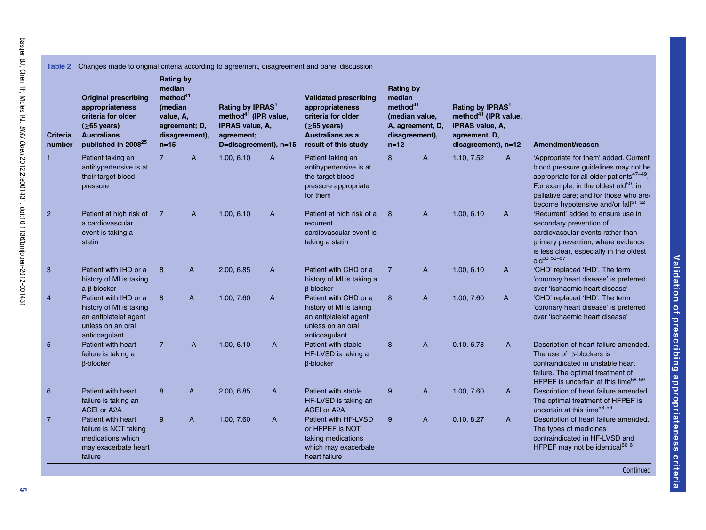| <b>Criteria</b><br>number | <b>Original prescribing</b><br>appropriateness<br>criteria for older<br>$(≥65 \text{ years})$<br><b>Australians</b><br>published in 2008 <sup>25</sup> | <b>Rating by</b><br>median<br>method <sup>41</sup><br>(median<br>value, A,<br>agreement; D,<br>$n=15$ | disagreement), | Rating by IPRAS <sup>1</sup><br>method <sup>41</sup> (IPR value,<br>IPRAS value, A,<br>agreement;<br>D=disagreement), n=15 |                | <b>Validated prescribing</b><br>appropriateness<br>criteria for older<br>$(≥65 \text{ years})$<br><b>Australians as a</b><br>result of this study | <b>Rating by</b><br>median<br>method <sup>41</sup><br>$n=12$ | (median value,<br>A, agreement, D,<br>disagreement), | Rating by IPRAS <sup>1</sup><br>method <sup>41</sup> (IPR value,<br>IPRAS value, A,<br>agreement, D,<br>disagreement), n=12 |              | Amendment/reason                                                                                                                                                                                                                                                                          |
|---------------------------|--------------------------------------------------------------------------------------------------------------------------------------------------------|-------------------------------------------------------------------------------------------------------|----------------|----------------------------------------------------------------------------------------------------------------------------|----------------|---------------------------------------------------------------------------------------------------------------------------------------------------|--------------------------------------------------------------|------------------------------------------------------|-----------------------------------------------------------------------------------------------------------------------------|--------------|-------------------------------------------------------------------------------------------------------------------------------------------------------------------------------------------------------------------------------------------------------------------------------------------|
| $\mathbf{1}$              | Patient taking an<br>antihypertensive is at<br>their target blood<br>pressure                                                                          | $\overline{7}$                                                                                        | $\mathsf{A}$   | 1.00, 6.10                                                                                                                 | $\overline{A}$ | Patient taking an<br>antihypertensive is at<br>the target blood<br>pressure appropriate<br>for them                                               | 8                                                            | A                                                    | 1.10, 7.52                                                                                                                  | $\mathsf{A}$ | 'Appropriate for them' added. Current<br>blood pressure guidelines may not be<br>appropriate for all older patients <sup>47-49</sup> .<br>For example, in the oldest old <sup>50</sup> ; in<br>palliative care; and for those who are/<br>become hypotensive and/or fall <sup>51 52</sup> |
| $\overline{2}$            | Patient at high risk of<br>a cardiovascular<br>event is taking a<br>statin                                                                             | 7                                                                                                     | A              | 1.00, 6.10                                                                                                                 | A              | Patient at high risk of a 8<br>recurrent<br>cardiovascular event is<br>taking a statin                                                            |                                                              | A                                                    | 1.00, 6.10                                                                                                                  | A            | 'Recurrent' added to ensure use in<br>secondary prevention of<br>cardiovascular events rather than<br>primary prevention, where evidence<br>is less clear, especially in the oldest<br>old <sup>33</sup> 53-57                                                                            |
| 3                         | Patient with IHD or a<br>history of MI is taking<br>$a \beta$ -blocker                                                                                 | 8                                                                                                     | A              | 2.00, 6.85                                                                                                                 | A              | Patient with CHD or a<br>history of MI is taking a<br><b>B-blocker</b>                                                                            | $\overline{7}$                                               | A                                                    | 1.00, 6.10                                                                                                                  | A            | 'CHD' replaced 'IHD'. The term<br>'coronary heart disease' is preferred<br>over 'ischaemic heart disease'                                                                                                                                                                                 |
| $\overline{4}$            | Patient with IHD or a<br>history of MI is taking<br>an antiplatelet agent<br>unless on an oral<br>anticoagulant                                        | 8                                                                                                     | A              | 1.00, 7.60                                                                                                                 | A              | Patient with CHD or a<br>history of MI is taking<br>an antiplatelet agent<br>unless on an oral<br>anticoagulant                                   | 8                                                            | Α                                                    | 1.00, 7.60                                                                                                                  | A            | 'CHD' replaced 'IHD'. The term<br>'coronary heart disease' is preferred<br>over 'ischaemic heart disease'                                                                                                                                                                                 |
| 5                         | Patient with heart<br>failure is taking a<br>$\beta$ -blocker                                                                                          | 7                                                                                                     | A              | 1.00, 6.10                                                                                                                 | A              | Patient with stable<br>HF-LVSD is taking a<br><b>B-blocker</b>                                                                                    | 8                                                            | A                                                    | 0.10, 6.78                                                                                                                  | $\mathsf{A}$ | Description of heart failure amended.<br>The use of $\beta$ -blockers is<br>contraindicated in unstable heart<br>failure. The optimal treatment of<br>HFPEF is uncertain at this time <sup>58 59</sup>                                                                                    |
| $6\phantom{1}6$           | Patient with heart<br>failure is taking an<br>ACEI or A2A                                                                                              | 8                                                                                                     | A              | 2.00, 6.85                                                                                                                 | A              | Patient with stable<br>HF-LVSD is taking an<br><b>ACEI or A2A</b>                                                                                 | 9                                                            | A                                                    | 1.00, 7.60                                                                                                                  | A            | Description of heart failure amended.<br>The optimal treatment of HFPEF is<br>uncertain at this time <sup>58 59</sup>                                                                                                                                                                     |
| $\overline{7}$            | Patient with heart<br>failure is NOT taking<br>medications which<br>may exacerbate heart<br>failure                                                    | 9                                                                                                     | A              | 1.00, 7.60                                                                                                                 | A              | Patient with HF-LVSD<br>or HFPEF is NOT<br>taking medications<br>which may exacerbate<br>heart failure                                            | 9                                                            | A                                                    | 0.10, 8.27                                                                                                                  | A            | Description of heart failure amended.<br>The types of medicines<br>contraindicated in HF-LVSD and<br>HFPEF may not be identical <sup>60 61</sup>                                                                                                                                          |

**Continued** 

Validation of prescribing appropriateness criteria Validation of prescribing appropriateness criteria

 $\mathbf{c}_1$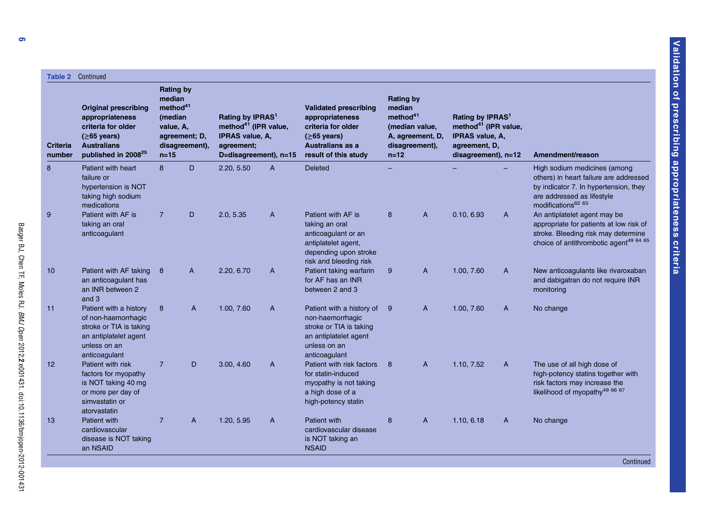| Table 2 Continued         |                                                                                                                                                        |                                                                                      |                                 |                                                                                                                                   |                |                                                                                                                                            |                                                              |                                                      |                                                                                                                                    |                |                                                                                                                                                                                 |
|---------------------------|--------------------------------------------------------------------------------------------------------------------------------------------------------|--------------------------------------------------------------------------------------|---------------------------------|-----------------------------------------------------------------------------------------------------------------------------------|----------------|--------------------------------------------------------------------------------------------------------------------------------------------|--------------------------------------------------------------|------------------------------------------------------|------------------------------------------------------------------------------------------------------------------------------------|----------------|---------------------------------------------------------------------------------------------------------------------------------------------------------------------------------|
| <b>Criteria</b><br>number | <b>Original prescribing</b><br>appropriateness<br>criteria for older<br>$(≥65 \text{ years})$<br><b>Australians</b><br>published in 2008 <sup>25</sup> | <b>Rating by</b><br>median<br>method <sup>41</sup><br>(median<br>value, A,<br>$n=15$ | agreement; D.<br>disagreement), | Rating by IPRAS <sup>1</sup><br>method <sup>41</sup> (IPR value,<br><b>IPRAS value, A.</b><br>agreement;<br>D=disagreement), n=15 |                | <b>Validated prescribing</b><br>appropriateness<br>criteria for older<br>$(≥65 \text{ years})$<br>Australians as a<br>result of this study | <b>Rating by</b><br>median<br>method <sup>41</sup><br>$n=12$ | (median value,<br>A, agreement, D,<br>disagreement), | Rating by IPRAS <sup>1</sup><br>method <sup>41</sup> (IPR value,<br><b>IPRAS value, A,</b><br>agreement, D,<br>disagreement), n=12 |                | Amendment/reason                                                                                                                                                                |
| 8                         | Patient with heart<br>failure or<br>hypertension is NOT<br>taking high sodium<br>medications                                                           | 8                                                                                    | D.                              | 2.20, 5.50                                                                                                                        | A              | <b>Deleted</b>                                                                                                                             |                                                              |                                                      |                                                                                                                                    |                | High sodium medicines (among<br>others) in heart failure are addressed<br>by indicator 7. In hypertension, they<br>are addressed as lifestyle<br>modifications <sup>62 63</sup> |
| 9                         | Patient with AF is<br>taking an oral<br>anticoagulant                                                                                                  | $\overline{7}$                                                                       | D                               | 2.0, 5.35                                                                                                                         | $\mathsf{A}$   | Patient with AF is<br>taking an oral<br>anticoagulant or an<br>antiplatelet agent,<br>depending upon stroke<br>risk and bleeding risk      | 8                                                            | $\overline{A}$                                       | 0.10, 6.93                                                                                                                         | $\overline{A}$ | An antiplatelet agent may be<br>appropriate for patients at low risk of<br>stroke. Bleeding risk may determine<br>choice of antithrombotic agent <sup>49 64 65</sup>            |
| 10 <sup>°</sup>           | Patient with AF taking<br>an anticoagulant has<br>an INR between 2<br>and 3                                                                            | 8                                                                                    | A                               | 2.20, 6.70                                                                                                                        | $\mathsf{A}$   | Patient taking warfarin<br>for AF has an INR<br>between 2 and 3                                                                            | 9                                                            | $\overline{A}$                                       | 1.00, 7.60                                                                                                                         | $\mathsf{A}$   | New anticoagulants like rivaroxaban<br>and dabigatran do not require INR<br>monitoring                                                                                          |
| 11                        | Patient with a history<br>of non-haemorrhagic<br>stroke or TIA is taking<br>an antiplatelet agent<br>unless on an<br>anticoagulant                     | 8                                                                                    | $\mathsf{A}$                    | 1.00, 7.60                                                                                                                        | $\overline{A}$ | Patient with a history of 9<br>non-haemorrhagic<br>stroke or TIA is taking<br>an antiplatelet agent<br>unless on an<br>anticoagulant       |                                                              | A                                                    | 1.00, 7.60                                                                                                                         | A              | No change                                                                                                                                                                       |
| $12 \overline{ }$         | Patient with risk<br>factors for myopathy<br>is NOT taking 40 mg<br>or more per day of<br>simvastatin or<br>atorvastatin                               | $\overline{7}$                                                                       | D                               | 3.00, 4.60                                                                                                                        | $\mathsf{A}$   | Patient with risk factors<br>for statin-induced<br>myopathy is not taking<br>a high dose of a<br>high-potency statin                       | 8                                                            | $\overline{A}$                                       | 1.10, 7.52                                                                                                                         | $\mathsf{A}$   | The use of all high dose of<br>high-potency statins together with<br>risk factors may increase the<br>likelihood of myopathy <sup>49 66 67</sup>                                |
| 13                        | Patient with<br>cardiovascular<br>disease is NOT taking<br>an NSAID                                                                                    | $\overline{7}$                                                                       | $\overline{A}$                  | 1.20, 5.95                                                                                                                        | A              | Patient with<br>cardiovascular disease<br>is NOT taking an<br><b>NSAID</b>                                                                 | 8                                                            | A                                                    | 1.10, 6.18                                                                                                                         | A              | No change<br>Continued                                                                                                                                                          |

Continued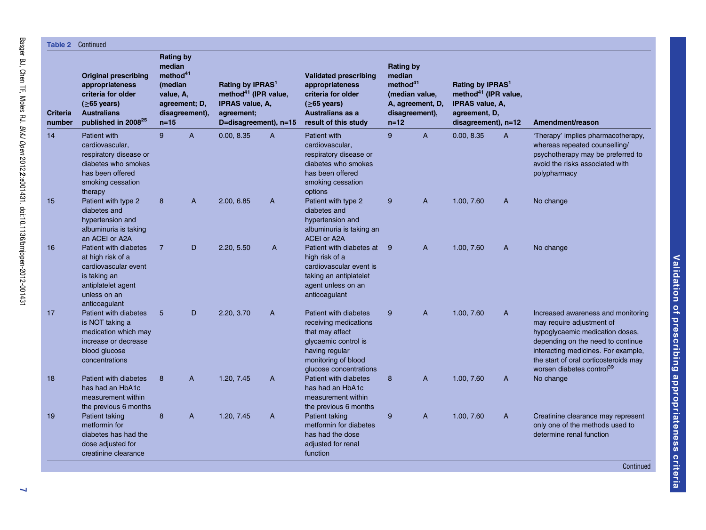| Table 2                   | Continued                                                                                                                                              |                                                                                                       |                |                                                                                                                                   |                |                                                                                                                                                              |                                                              |                                                      |                                                                                                                                    |                |                                                                                                                                                                                                                                                                  |
|---------------------------|--------------------------------------------------------------------------------------------------------------------------------------------------------|-------------------------------------------------------------------------------------------------------|----------------|-----------------------------------------------------------------------------------------------------------------------------------|----------------|--------------------------------------------------------------------------------------------------------------------------------------------------------------|--------------------------------------------------------------|------------------------------------------------------|------------------------------------------------------------------------------------------------------------------------------------|----------------|------------------------------------------------------------------------------------------------------------------------------------------------------------------------------------------------------------------------------------------------------------------|
| <b>Criteria</b><br>number | <b>Original prescribing</b><br>appropriateness<br>criteria for older<br>$(≥65 \text{ years})$<br><b>Australians</b><br>published in 2008 <sup>25</sup> | <b>Rating by</b><br>median<br>method <sup>41</sup><br>(median<br>value, A,<br>agreement; D.<br>$n=15$ | disagreement), | Rating by <b>IPRAS</b> <sup>1</sup><br>method <sup>41</sup> (IPR value,<br>IPRAS value, A,<br>agreement;<br>D=disagreement), n=15 |                | <b>Validated prescribing</b><br>appropriateness<br>criteria for older<br>$(≥65 \text{ years})$<br><b>Australians as a</b><br>result of this study            | <b>Rating by</b><br>median<br>method <sup>41</sup><br>$n=12$ | (median value,<br>A, agreement, D,<br>disagreement), | Rating by IPRAS <sup>1</sup><br>method <sup>41</sup> (IPR value,<br><b>IPRAS value, A,</b><br>agreement, D.<br>disagreement), n=12 |                | Amendment/reason                                                                                                                                                                                                                                                 |
| 14                        | <b>Patient with</b><br>cardiovascular.<br>respiratory disease or<br>diabetes who smokes<br>has been offered<br>smoking cessation<br>therapy            | 9                                                                                                     | $\overline{A}$ | 0.00, 8.35                                                                                                                        | $\overline{A}$ | <b>Patient with</b><br>cardiovascular.<br>respiratory disease or<br>diabetes who smokes<br>has been offered<br>smoking cessation<br>options                  | 9                                                            | $\overline{A}$                                       | 0.00, 8.35                                                                                                                         | $\overline{A}$ | 'Therapy' implies pharmacotherapy,<br>whereas repeated counselling/<br>psychotherapy may be preferred to<br>avoid the risks associated with<br>polypharmacy                                                                                                      |
| 15                        | Patient with type 2<br>diabetes and<br>hypertension and<br>albuminuria is taking<br>an ACEI or A2A                                                     | 8                                                                                                     | $\overline{A}$ | 2.00, 6.85                                                                                                                        | A              | Patient with type 2<br>diabetes and<br>hypertension and<br>albuminuria is taking an<br>ACEI or A2A                                                           | 9                                                            | $\mathsf{A}$                                         | 1.00, 7.60                                                                                                                         | A              | No change                                                                                                                                                                                                                                                        |
| 16                        | Patient with diabetes<br>at high risk of a<br>cardiovascular event<br>is taking an<br>antiplatelet agent<br>unless on an<br>anticoagulant              | $\overline{7}$                                                                                        | D              | 2.20, 5.50                                                                                                                        | $\overline{A}$ | Patient with diabetes at 9<br>high risk of a<br>cardiovascular event is<br>taking an antiplatelet<br>agent unless on an<br>anticoagulant                     |                                                              | $\mathsf{A}$                                         | 1.00, 7.60                                                                                                                         | A              | No change                                                                                                                                                                                                                                                        |
| 17                        | Patient with diabetes<br>is NOT taking a<br>medication which may<br>increase or decrease<br>blood glucose<br>concentrations                            | 5                                                                                                     | D              | 2.20, 3.70                                                                                                                        | A              | Patient with diabetes<br>receiving medications<br>that may affect<br>glycaemic control is<br>having regular<br>monitoring of blood<br>glucose concentrations | 9                                                            | $\overline{A}$                                       | 1.00, 7.60                                                                                                                         | A              | Increased awareness and monitoring<br>may require adjustment of<br>hypoglycaemic medication doses,<br>depending on the need to continue<br>interacting medicines. For example,<br>the start of oral corticosteroids may<br>worsen diabetes control <sup>39</sup> |
| 18                        | Patient with diabetes<br>has had an HbA1c<br>measurement within<br>the previous 6 months                                                               | 8                                                                                                     | $\overline{A}$ | 1.20, 7.45                                                                                                                        | A              | Patient with diabetes<br>has had an HbA1c<br>measurement within<br>the previous 6 months                                                                     | 8                                                            | A                                                    | 1.00, 7.60                                                                                                                         | A              | No change                                                                                                                                                                                                                                                        |
| 19                        | Patient taking<br>metformin for<br>diabetes has had the<br>dose adjusted for<br>creatinine clearance                                                   | 8                                                                                                     | $\mathsf{A}$   | 1.20, 7.45                                                                                                                        | A              | Patient taking<br>metformin for diabetes<br>has had the dose<br>adjusted for renal<br>function                                                               | 9                                                            | A                                                    | 1.00, 7.60                                                                                                                         | A              | Creatinine clearance may represent<br>only one of the methods used to<br>determine renal function<br>Continued                                                                                                                                                   |

Validation of prescribing appropriateness criteria Validation of prescribing appropriateness criteria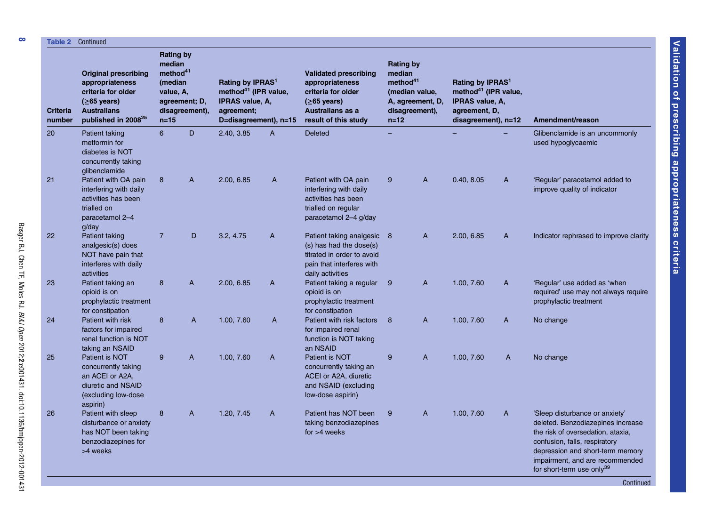| <b>Criteria</b><br>number | <b>Original prescribing</b><br>appropriateness<br>criteria for older<br>$(≥65 \text{ years})$<br><b>Australians</b><br>published in 2008 <sup>25</sup> | Rating by<br>median<br>method <sup>41</sup><br>(median<br>value, A,<br>$n=15$ | agreement; D,<br>disagreement), | Rating by IPRAS <sup>1</sup><br>method <sup>41</sup> (IPR value,<br><b>IPRAS value, A,</b><br>agreement;<br>D=disagreement), n=15 |                | <b>Validated prescribing</b><br>appropriateness<br>criteria for older<br>$(≥65 \text{ years})$<br>Australians as a<br>result of this study | <b>Rating by</b><br>median<br>method <sup>41</sup><br>$n = 12$ | (median value,<br>A, agreement, D,<br>disagreement), | Rating by IPRAS <sup>1</sup><br>method <sup>41</sup> (IPR value,<br><b>IPRAS value, A,</b><br>agreement, D,<br>disagreement), n=12 |              | Amendment/reason                                                                                                                                                                                                                                                       |
|---------------------------|--------------------------------------------------------------------------------------------------------------------------------------------------------|-------------------------------------------------------------------------------|---------------------------------|-----------------------------------------------------------------------------------------------------------------------------------|----------------|--------------------------------------------------------------------------------------------------------------------------------------------|----------------------------------------------------------------|------------------------------------------------------|------------------------------------------------------------------------------------------------------------------------------------|--------------|------------------------------------------------------------------------------------------------------------------------------------------------------------------------------------------------------------------------------------------------------------------------|
| 20                        | Patient taking<br>metformin for<br>diabetes is NOT<br>concurrently taking                                                                              | 6                                                                             | D                               | 2.40, 3.85                                                                                                                        | $\overline{A}$ | <b>Deleted</b>                                                                                                                             |                                                                |                                                      |                                                                                                                                    |              | Glibenclamide is an uncommonly<br>used hypoglycaemic                                                                                                                                                                                                                   |
| 21                        | glibenclamide<br>Patient with OA pain<br>interfering with daily<br>activities has been<br>trialled on<br>paracetamol 2-4<br>q/day                      | 8                                                                             | $\mathsf{A}$                    | 2.00, 6.85                                                                                                                        | A              | Patient with OA pain<br>interfering with daily<br>activities has been<br>trialled on regular<br>paracetamol 2-4 g/day                      | 9                                                              | $\overline{A}$                                       | 0.40, 8.05                                                                                                                         | A            | 'Regular' paracetamol added to<br>improve quality of indicator                                                                                                                                                                                                         |
| 22                        | Patient taking<br>analgesic(s) does<br>NOT have pain that<br>interferes with daily<br>activities                                                       | $\overline{7}$                                                                | D                               | 3.2, 4.75                                                                                                                         | A              | Patient taking analgesic 8<br>(s) has had the dose(s)<br>titrated in order to avoid<br>pain that interferes with<br>daily activities       |                                                                | $\mathsf{A}$                                         | 2.00, 6.85                                                                                                                         | $\mathsf{A}$ | Indicator rephrased to improve clarity                                                                                                                                                                                                                                 |
| 23                        | Patient taking an<br>opioid is on<br>prophylactic treatment<br>for constipation                                                                        | 8                                                                             | $\overline{A}$                  | 2.00, 6.85                                                                                                                        | A              | Patient taking a regular 9<br>opioid is on<br>prophylactic treatment<br>for constipation                                                   |                                                                | $\overline{A}$                                       | 1.00, 7.60                                                                                                                         | $\mathsf{A}$ | 'Regular' use added as 'when<br>required' use may not always require<br>prophylactic treatment                                                                                                                                                                         |
| 24                        | Patient with risk<br>factors for impaired<br>renal function is NOT<br>taking an NSAID                                                                  | 8                                                                             | $\mathsf{A}$                    | 1.00, 7.60                                                                                                                        | A              | Patient with risk factors<br>for impaired renal<br>function is NOT taking<br>an NSAID                                                      | 8                                                              | A                                                    | 1.00, 7.60                                                                                                                         | A            | No change                                                                                                                                                                                                                                                              |
| 25                        | Patient is NOT<br>concurrently taking<br>an ACEI or A2A,<br>diuretic and NSAID<br>(excluding low-dose<br>aspirin)                                      | 9                                                                             | $\overline{A}$                  | 1.00, 7.60                                                                                                                        | A              | Patient is NOT<br>concurrently taking an<br>ACEI or A2A, diuretic<br>and NSAID (excluding<br>low-dose aspirin)                             | 9                                                              | $\overline{A}$                                       | 1.00, 7.60                                                                                                                         | $\mathsf{A}$ | No change                                                                                                                                                                                                                                                              |
| 26                        | Patient with sleep<br>disturbance or anxiety<br>has NOT been taking<br>benzodiazepines for<br>>4 weeks                                                 | 8                                                                             | $\mathsf{A}$                    | 1.20, 7.45                                                                                                                        | A              | Patient has NOT been<br>taking benzodiazepines<br>for $>4$ weeks                                                                           | 9                                                              | $\mathsf{A}$                                         | 1.00, 7.60                                                                                                                         | A            | 'Sleep disturbance or anxiety'<br>deleted. Benzodiazepines increase<br>the risk of oversedation, ataxia,<br>confusion, falls, respiratory<br>depression and short-term memory<br>impairment, and are recommended<br>for short-term use only <sup>39</sup><br>Continued |

 $\bullet$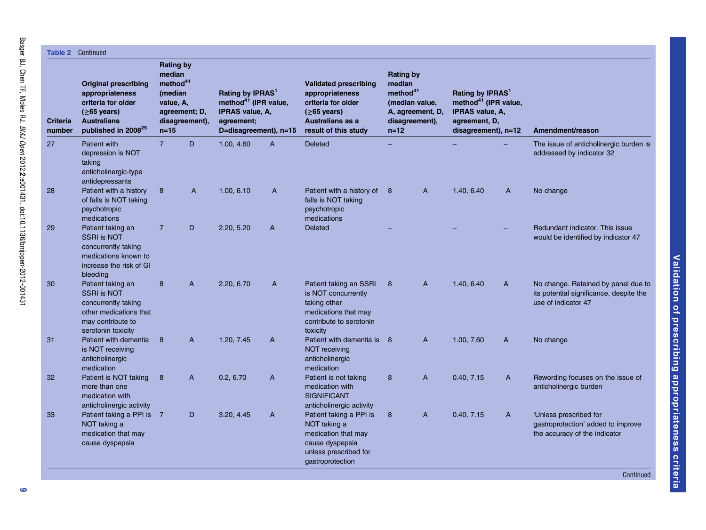| Table 2                   | Continued                                                                                                                                              |                                          |                                                                                                                         |            |                |                                                                                                                                |   |              |            |              |                                                                                                                            |  |                                                                                                                                            |                                                                                                                      |  |                                                                                                                                    |  |                  |
|---------------------------|--------------------------------------------------------------------------------------------------------------------------------------------------------|------------------------------------------|-------------------------------------------------------------------------------------------------------------------------|------------|----------------|--------------------------------------------------------------------------------------------------------------------------------|---|--------------|------------|--------------|----------------------------------------------------------------------------------------------------------------------------|--|--------------------------------------------------------------------------------------------------------------------------------------------|----------------------------------------------------------------------------------------------------------------------|--|------------------------------------------------------------------------------------------------------------------------------------|--|------------------|
| <b>Criteria</b><br>number | <b>Original prescribing</b><br>appropriateness<br>criteria for older<br>$(≥65 \text{ years})$<br><b>Australians</b><br>published in 2008 <sup>25</sup> | <b>Patient with</b><br>depression is NOT | <b>Rating by</b><br>median<br>method <sup>41</sup><br>(median<br>value, A,<br>agreement; D,<br>disagreement),<br>$n=15$ |            |                |                                                                                                                                |   |              |            |              | Rating by IPRAS <sup>1</sup><br>method <sup>41</sup> (IPR value,<br>IPRAS value, A,<br>agreement;<br>D=disagreement), n=15 |  | <b>Validated prescribing</b><br>appropriateness<br>criteria for older<br>$(≥65 \text{ years})$<br>Australians as a<br>result of this study | <b>Rating by</b><br>median<br>method <sup>41</sup><br>(median value,<br>A, agreement, D,<br>disagreement),<br>$n=12$ |  | Rating by IPRAS <sup>1</sup><br>method <sup>41</sup> (IPR value,<br><b>IPRAS value, A,</b><br>agreement, D,<br>disagreement), n=12 |  | Amendment/reason |
| 27                        | taking<br>anticholinergic-type                                                                                                                         | $\overline{7}$                           | D                                                                                                                       | 1.00, 4.60 | A              | <b>Deleted</b>                                                                                                                 |   |              |            |              | The issue of anticholinergic burden is<br>addressed by indicator 32                                                        |  |                                                                                                                                            |                                                                                                                      |  |                                                                                                                                    |  |                  |
| 28                        | antidepressants<br>Patient with a history<br>of falls is NOT taking<br>psychotropic<br>medications                                                     | 8                                        | A                                                                                                                       | 1.00, 6.10 | A              | Patient with a history of<br>falls is NOT taking<br>psychotropic<br>medications                                                | 8 | $\mathsf{A}$ | 1.40, 6.40 | A            | No change                                                                                                                  |  |                                                                                                                                            |                                                                                                                      |  |                                                                                                                                    |  |                  |
| 29                        | Patient taking an<br><b>SSRI is NOT</b><br>concurrently taking<br>medications known to<br>increase the risk of GI<br>bleeding                          | $\overline{7}$                           | D                                                                                                                       | 2.20, 5.20 | A              | <b>Deleted</b>                                                                                                                 |   |              |            |              | Redundant indicator. This issue<br>would be identified by indicator 47                                                     |  |                                                                                                                                            |                                                                                                                      |  |                                                                                                                                    |  |                  |
| 30                        | Patient taking an<br><b>SSRI is NOT</b><br>concurrently taking<br>other medications that<br>may contribute to<br>serotonin toxicity                    | 8                                        | A                                                                                                                       | 2.20, 6.70 | $\mathsf{A}$   | Patient taking an SSRI<br>is NOT concurrently<br>taking other<br>medications that may<br>contribute to serotonin<br>toxicity   | 8 | $\mathsf{A}$ | 1.40, 6.40 | A            | No change. Retained by panel due to<br>its potential significance, despite the<br>use of indicator 47                      |  |                                                                                                                                            |                                                                                                                      |  |                                                                                                                                    |  |                  |
| 31                        | Patient with dementia<br>is NOT receiving<br>anticholinergic<br>medication                                                                             | 8                                        | $\overline{A}$                                                                                                          | 1.20, 7.45 | A              | Patient with dementia is 8<br>NOT receiving<br>anticholinergic<br>medication                                                   |   | $\mathsf{A}$ | 1.00, 7.60 | A            | No change                                                                                                                  |  |                                                                                                                                            |                                                                                                                      |  |                                                                                                                                    |  |                  |
| 32                        | Patient is NOT taking<br>more than one<br>medication with<br>anticholinergic activity                                                                  | 8                                        | A                                                                                                                       | 0.2, 6.70  | A              | Patient is not taking<br>medication with<br><b>SIGNIFICANT</b><br>anticholinergic activity                                     | 8 | $\mathsf{A}$ | 0.40, 7.15 | A            | Rewording focuses on the issue of<br>anticholinergic burden                                                                |  |                                                                                                                                            |                                                                                                                      |  |                                                                                                                                    |  |                  |
| 33                        | Patient taking a PPI is 7<br>NOT taking a<br>medication that may<br>cause dyspepsia                                                                    |                                          | D                                                                                                                       | 3.20, 4.45 | $\overline{A}$ | Patient taking a PPI is<br>NOT taking a<br>medication that may<br>cause dyspepsia<br>unless prescribed for<br>gastroprotection | 8 | $\mathsf{A}$ | 0.40, 7.15 | $\mathsf{A}$ | 'Unless prescribed for<br>gastroprotection' added to improve<br>the accuracy of the indicator<br>Continued                 |  |                                                                                                                                            |                                                                                                                      |  |                                                                                                                                    |  |                  |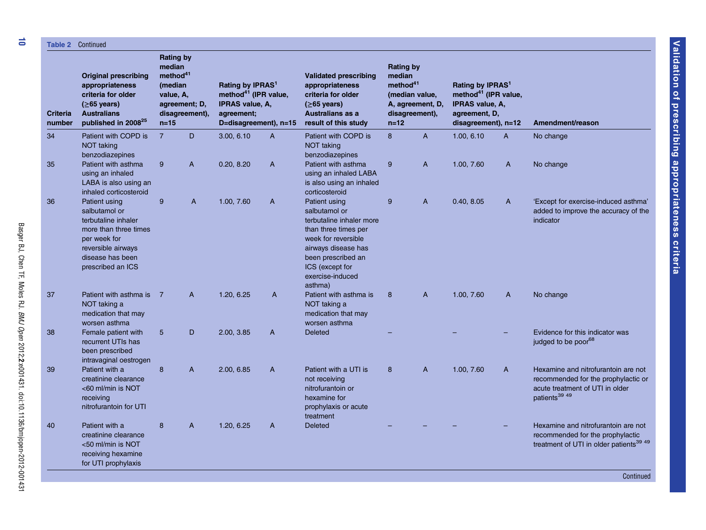|                           | <b>Table 2 Continued</b>                                                                                                                                      |                                                                                      |                                 |                                                                                                                            |                           |                                                                                                                                                                                                          |                                                                |                                                      |                                                                                                                             |                |                                                                                                                                            |
|---------------------------|---------------------------------------------------------------------------------------------------------------------------------------------------------------|--------------------------------------------------------------------------------------|---------------------------------|----------------------------------------------------------------------------------------------------------------------------|---------------------------|----------------------------------------------------------------------------------------------------------------------------------------------------------------------------------------------------------|----------------------------------------------------------------|------------------------------------------------------|-----------------------------------------------------------------------------------------------------------------------------|----------------|--------------------------------------------------------------------------------------------------------------------------------------------|
| <b>Criteria</b><br>number | <b>Original prescribing</b><br>appropriateness<br>criteria for older<br>$(≥65 \text{ years})$<br><b>Australians</b><br>published in 2008 <sup>25</sup>        | <b>Rating by</b><br>median<br>method <sup>41</sup><br>(median<br>value, A,<br>$n=15$ | agreement; D,<br>disagreement), | Rating by IPRAS <sup>1</sup><br>method <sup>41</sup> (IPR value,<br>IPRAS value, A,<br>agreement:<br>D=disagreement), n=15 |                           | <b>Validated prescribing</b><br>appropriateness<br>criteria for older<br>$(≥65 \text{ years})$<br>Australians as a<br>result of this study                                                               | <b>Rating by</b><br>median<br>method <sup>41</sup><br>$n = 12$ | (median value,<br>A, agreement, D,<br>disagreement), | Rating by IPRAS <sup>1</sup><br>method <sup>41</sup> (IPR value,<br>IPRAS value, A,<br>agreement, D,<br>disagreement), n=12 |                | Amendment/reason                                                                                                                           |
| 34                        | Patient with COPD is<br><b>NOT taking</b><br>benzodiazepines                                                                                                  | $\overline{7}$                                                                       | D                               | 3.00, 6.10                                                                                                                 | $\boldsymbol{\mathsf{A}}$ | Patient with COPD is<br><b>NOT taking</b><br>benzodiazepines                                                                                                                                             | 8                                                              | A                                                    | 1.00, 6.10                                                                                                                  | $\overline{A}$ | No change                                                                                                                                  |
| 35                        | Patient with asthma<br>using an inhaled<br>LABA is also using an<br>inhaled corticosteroid                                                                    | 9                                                                                    | A                               | 0.20, 8.20                                                                                                                 | A                         | Patient with asthma<br>using an inhaled LABA<br>is also using an inhaled<br>corticosteroid                                                                                                               | 9                                                              | A                                                    | 1.00, 7.60                                                                                                                  | $\mathsf{A}$   | No change                                                                                                                                  |
| 36                        | Patient using<br>salbutamol or<br>terbutaline inhaler<br>more than three times<br>per week for<br>reversible airways<br>disease has been<br>prescribed an ICS | 9                                                                                    | A                               | 1.00, 7.60                                                                                                                 | A                         | Patient using<br>salbutamol or<br>terbutaline inhaler more<br>than three times per<br>week for reversible<br>airways disease has<br>been prescribed an<br>ICS (except for<br>exercise-induced<br>asthma) | 9                                                              | A                                                    | 0.40, 8.05                                                                                                                  | $\mathsf{A}$   | 'Except for exercise-induced asthma'<br>added to improve the accuracy of the<br>indicator                                                  |
| 37                        | Patient with asthma is 7<br>NOT taking a<br>medication that may<br>worsen asthma                                                                              |                                                                                      | A                               | 1.20, 6.25                                                                                                                 | A                         | Patient with asthma is<br>NOT taking a<br>medication that may<br>worsen asthma                                                                                                                           | 8                                                              | A                                                    | 1.00, 7.60                                                                                                                  | A              | No change                                                                                                                                  |
| 38                        | Female patient with<br>recurrent UTIs has<br>been prescribed<br>intravaginal oestrogen                                                                        | 5                                                                                    | D                               | 2.00, 3.85                                                                                                                 | $\overline{A}$            | <b>Deleted</b>                                                                                                                                                                                           |                                                                |                                                      |                                                                                                                             |                | Evidence for this indicator was<br>judged to be poor <sup>68</sup>                                                                         |
| 39                        | Patient with a<br>creatinine clearance<br><60 ml/min is NOT<br>receiving<br>nitrofurantoin for UTI                                                            | 8                                                                                    | A                               | 2.00, 6.85                                                                                                                 | A                         | Patient with a UTI is<br>not receiving<br>nitrofurantoin or<br>hexamine for<br>prophylaxis or acute<br>treatment                                                                                         | 8                                                              | A                                                    | 1.00, 7.60                                                                                                                  | A              | Hexamine and nitrofurantoin are not<br>recommended for the prophylactic or<br>acute treatment of UTI in older<br>patients <sup>39 49</sup> |
| 40                        | Patient with a<br>creatinine clearance<br><50 ml/min is NOT<br>receiving hexamine<br>for UTI prophylaxis                                                      | 8                                                                                    | A                               | 1.20, 6.25                                                                                                                 | A                         | <b>Deleted</b>                                                                                                                                                                                           |                                                                |                                                      |                                                                                                                             |                | Hexamine and nitrofurantoin are not<br>recommended for the prophylactic<br>treatment of UTI in older patients <sup>39 49</sup>             |
|                           |                                                                                                                                                               |                                                                                      |                                 |                                                                                                                            |                           |                                                                                                                                                                                                          |                                                                |                                                      |                                                                                                                             |                | Continued                                                                                                                                  |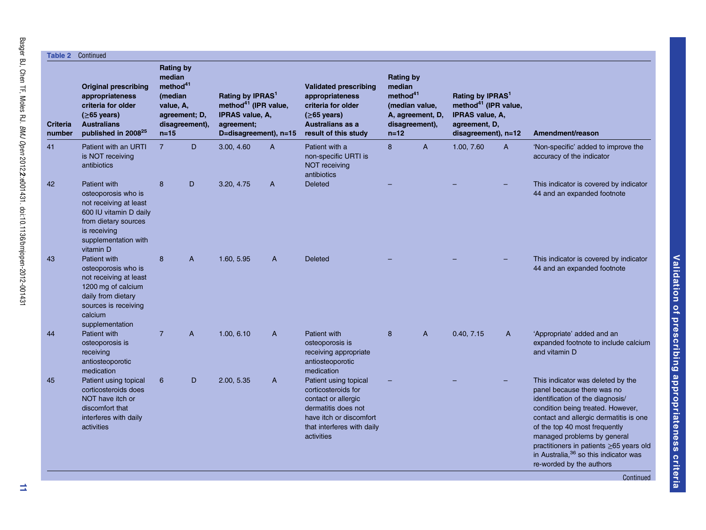| Table 2                   | Continued                                                                                                                                                                   |                                                                                      |                                 |                                                                                                                            |              |                                                                                                                                                                   |                                                                                                                      |                |                                                                                                                                    |   |                                                                                                                                                                                                                                                                                                                                                                                  |
|---------------------------|-----------------------------------------------------------------------------------------------------------------------------------------------------------------------------|--------------------------------------------------------------------------------------|---------------------------------|----------------------------------------------------------------------------------------------------------------------------|--------------|-------------------------------------------------------------------------------------------------------------------------------------------------------------------|----------------------------------------------------------------------------------------------------------------------|----------------|------------------------------------------------------------------------------------------------------------------------------------|---|----------------------------------------------------------------------------------------------------------------------------------------------------------------------------------------------------------------------------------------------------------------------------------------------------------------------------------------------------------------------------------|
| <b>Criteria</b><br>number | <b>Original prescribing</b><br>appropriateness<br>criteria for older<br>$(≥65 \text{ years})$<br><b>Australians</b><br>published in 2008 <sup>25</sup>                      | <b>Rating by</b><br>median<br>method <sup>41</sup><br>(median<br>value, A,<br>$n=15$ | agreement; D,<br>disagreement), | Rating by IPRAS <sup>1</sup><br>method <sup>41</sup> (IPR value,<br>IPRAS value, A,<br>agreement:<br>D=disagreement), n=15 |              | <b>Validated prescribing</b><br>appropriateness<br>criteria for older<br>$(≥65 \text{ years})$<br><b>Australians as a</b><br>result of this study                 | <b>Rating by</b><br>median<br>method <sup>41</sup><br>(median value,<br>A, agreement, D,<br>disagreement),<br>$n=12$ |                | Rating by IPRAS <sup>1</sup><br>method <sup>41</sup> (IPR value,<br><b>IPRAS value, A,</b><br>agreement, D,<br>disagreement), n=12 |   | Amendment/reason                                                                                                                                                                                                                                                                                                                                                                 |
| 41                        | Patient with an URTI<br>is NOT receiving<br>antibiotics                                                                                                                     | $\overline{7}$                                                                       | D                               | 3.00, 4.60                                                                                                                 | $\mathsf{A}$ | Patient with a<br>non-specific URTI is<br><b>NOT</b> receiving<br>antibiotics                                                                                     | 8                                                                                                                    | $\overline{A}$ | 1.00, 7.60                                                                                                                         | A | 'Non-specific' added to improve the<br>accuracy of the indicator                                                                                                                                                                                                                                                                                                                 |
| 42                        | <b>Patient with</b><br>osteoporosis who is<br>not receiving at least<br>600 IU vitamin D daily<br>from dietary sources<br>is receiving<br>supplementation with<br>vitamin D | 8                                                                                    | D                               | 3.20, 4.75                                                                                                                 | $\mathsf{A}$ | <b>Deleted</b>                                                                                                                                                    |                                                                                                                      |                |                                                                                                                                    |   | This indicator is covered by indicator<br>44 and an expanded footnote                                                                                                                                                                                                                                                                                                            |
| 43                        | Patient with<br>osteoporosis who is<br>not receiving at least<br>1200 mg of calcium<br>daily from dietary<br>sources is receiving<br>calcium<br>supplementation             | 8                                                                                    | A                               | 1.60, 5.95                                                                                                                 | $\mathsf{A}$ | <b>Deleted</b>                                                                                                                                                    |                                                                                                                      |                |                                                                                                                                    |   | This indicator is covered by indicator<br>44 and an expanded footnote                                                                                                                                                                                                                                                                                                            |
| 44                        | <b>Patient with</b><br>osteoporosis is<br>receiving<br>antiosteoporotic<br>medication                                                                                       | $\overline{7}$                                                                       | A                               | 1.00, 6.10                                                                                                                 | A            | <b>Patient with</b><br>osteoporosis is<br>receiving appropriate<br>antiosteoporotic<br>medication                                                                 | 8                                                                                                                    | $\mathsf{A}$   | 0.40, 7.15                                                                                                                         | A | 'Appropriate' added and an<br>expanded footnote to include calcium<br>and vitamin D                                                                                                                                                                                                                                                                                              |
| 45                        | Patient using topical<br>corticosteroids does<br>NOT have itch or<br>discomfort that<br>interferes with daily<br>activities                                                 | 6                                                                                    | D                               | 2.00, 5.35                                                                                                                 | A            | Patient using topical<br>corticosteroids for<br>contact or allergic<br>dermatitis does not<br>have itch or discomfort<br>that interferes with daily<br>activities |                                                                                                                      |                |                                                                                                                                    |   | This indicator was deleted by the<br>panel because there was no<br>identification of the diagnosis/<br>condition being treated. However,<br>contact and allergic dermatitis is one<br>of the top 40 most frequently<br>managed problems by general<br>practitioners in patients ≥65 years old<br>in Australia, 36 so this indicator was<br>re-worded by the authors<br>Continued |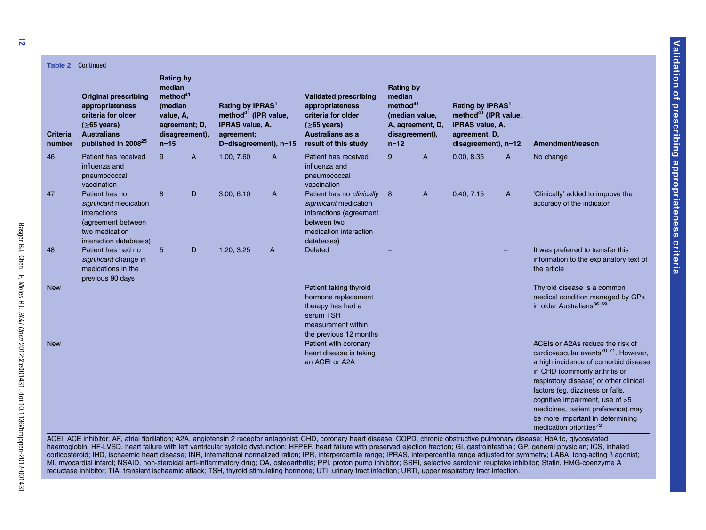|                           | <b>Table 2</b> Continued                                                                                                                               |                                                                                                         |                |                                                                                                                            |   |                                                                                                                                            |                                                                                |                                    |                                                                                                                               |              |                                                                                                                                                                                                                                                                                                                                                                                                 |
|---------------------------|--------------------------------------------------------------------------------------------------------------------------------------------------------|---------------------------------------------------------------------------------------------------------|----------------|----------------------------------------------------------------------------------------------------------------------------|---|--------------------------------------------------------------------------------------------------------------------------------------------|--------------------------------------------------------------------------------|------------------------------------|-------------------------------------------------------------------------------------------------------------------------------|--------------|-------------------------------------------------------------------------------------------------------------------------------------------------------------------------------------------------------------------------------------------------------------------------------------------------------------------------------------------------------------------------------------------------|
| <b>Criteria</b><br>number | <b>Original prescribing</b><br>appropriateness<br>criteria for older<br>$(≥65 \text{ years})$<br><b>Australians</b><br>published in 2008 <sup>25</sup> | <b>Rating by</b><br>median<br>method <sup>41</sup><br>(median<br>value, A,<br>agreement; D,<br>$n = 15$ | disagreement), | Rating by IPRAS <sup>1</sup><br>method <sup>41</sup> (IPR value,<br>IPRAS value, A,<br>agreement;<br>D=disagreement), n=15 |   | <b>Validated prescribing</b><br>appropriateness<br>criteria for older<br>$(≥65 \text{ years})$<br>Australians as a<br>result of this study | <b>Rating by</b><br>median<br>method <sup>41</sup><br>(median value,<br>$n=12$ | A, agreement, D,<br>disagreement), | Rating by IPRAS <sup>1</sup><br>method <sup>41</sup> (IPR value,<br>IPRAS value, A,<br>agreement, D,<br>disagreement), $n=12$ |              | Amendment/reason                                                                                                                                                                                                                                                                                                                                                                                |
| 46                        | Patient has received<br>influenza and<br>pneumococcal<br>vaccination                                                                                   | 9                                                                                                       | $\mathsf{A}$   | 1.00, 7.60                                                                                                                 | A | Patient has received<br>influenza and<br>pneumococcal<br>vaccination                                                                       | 9                                                                              | A                                  | 0.00, 8.35                                                                                                                    | $\mathsf{A}$ | No change                                                                                                                                                                                                                                                                                                                                                                                       |
| 47                        | Patient has no<br>significant medication<br><b>interactions</b><br>(agreement between<br>two medication<br>interaction databases)                      | 8                                                                                                       | D              | 3.00, 6.10                                                                                                                 | A | Patient has no clinically 8<br>significant medication<br>interactions (agreement<br>between two<br>medication interaction<br>databases)    |                                                                                | A                                  | 0.40, 7.15                                                                                                                    | $\mathsf{A}$ | 'Clinically' added to improve the<br>accuracy of the indicator                                                                                                                                                                                                                                                                                                                                  |
| 48                        | Patient has had no<br>significant change in<br>medications in the<br>previous 90 days                                                                  | $5\phantom{.0}$                                                                                         | D              | 1.20, 3.25                                                                                                                 | A | <b>Deleted</b>                                                                                                                             |                                                                                |                                    |                                                                                                                               |              | It was preferred to transfer this<br>information to the explanatory text of<br>the article                                                                                                                                                                                                                                                                                                      |
| <b>New</b>                |                                                                                                                                                        |                                                                                                         |                |                                                                                                                            |   | Patient taking thyroid<br>hormone replacement<br>therapy has had a<br>serum TSH<br>measurement within<br>the previous 12 months            |                                                                                |                                    |                                                                                                                               |              | Thyroid disease is a common<br>medical condition managed by GPs<br>in older Australians <sup>36 69</sup>                                                                                                                                                                                                                                                                                        |
| <b>New</b>                |                                                                                                                                                        |                                                                                                         |                |                                                                                                                            |   | Patient with coronary<br>heart disease is taking<br>an ACEI or A2A                                                                         |                                                                                |                                    |                                                                                                                               |              | ACEIs or A2As reduce the risk of<br>cardiovascular events <sup>70</sup> 71. However,<br>a high incidence of comorbid disease<br>in CHD (commonly arthritis or<br>respiratory disease) or other clinical<br>factors (eg, dizziness or falls,<br>cognitive impairment, use of >5<br>medicines, patient preference) may<br>be more important in determining<br>medication priorities <sup>72</sup> |

ACEI, ACE inhibitor; AF, atrial fibrillation; A2A, angiotensin 2 receptor antagonist; CHD, coronary heart disease; COPD, chronic obstructive pulmonary disease; HbA1c, glycosylated haemoglobin; HF-LVSD, heart failure with left ventricular systolic dysfunction; HFPEF, heart failure with preserved ejection fraction; GI, gastrointestinal; GP, general physician; ICS, inhaled corticosteroid; IHD, ischaemic heart disease; INR, international normalized ration; IPR, interpercentile range; IPRAS, interpercentile range adjusted for symmetry; LABA, long-acting β agonist; MI, myocardial infarct; NSAID, non-steroidal anti-inflammatory drug; OA, osteoarthritis; PPI, proton pump inhibitor; SSRI, selective serotonin reuptake inhibitor; Statin, HMG-coenzyme A reductase inhibitor; TIA, transient ischaemic attack; TSH, thyroid stimulating hormone; UTI, urinary tract infection; URTI, upper respiratory tract infection.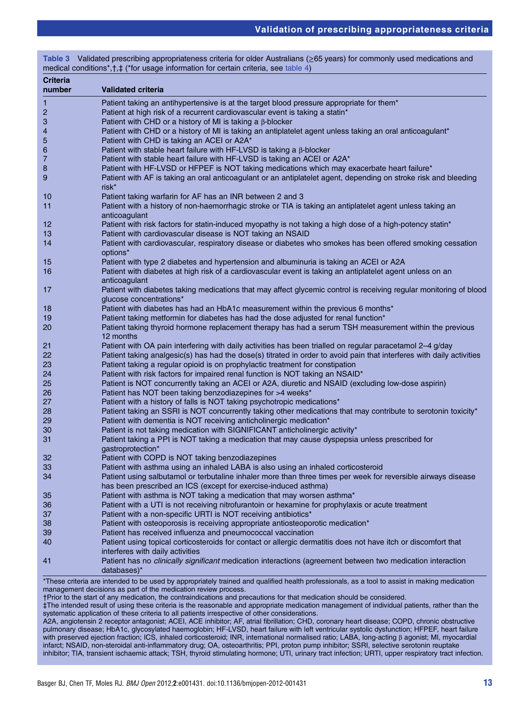|                           | Table 3 Validated prescribing appropriateness criteria for older Australians ( $\geq$ 65 years) for commonly used medications and<br>medical conditions*, †, ‡ (*for usage information for certain criteria, see table 4) |
|---------------------------|---------------------------------------------------------------------------------------------------------------------------------------------------------------------------------------------------------------------------|
| <b>Criteria</b><br>number | <b>Validated criteria</b>                                                                                                                                                                                                 |
| 1                         | Patient taking an antihypertensive is at the target blood pressure appropriate for them*                                                                                                                                  |
| $\overline{c}$            | Patient at high risk of a recurrent cardiovascular event is taking a statin*                                                                                                                                              |
| 3                         | Patient with CHD or a history of MI is taking a $\beta$ -blocker                                                                                                                                                          |
| 4                         | Patient with CHD or a history of MI is taking an antiplatelet agent unless taking an oral anticoagulant*                                                                                                                  |
| 5                         | Patient with CHD is taking an ACEI or A2A*                                                                                                                                                                                |
| 6                         | Patient with stable heart failure with HF-LVSD is taking a $\beta$ -blocker                                                                                                                                               |
| $\overline{7}$            | Patient with stable heart failure with HF-LVSD is taking an ACEI or A2A*                                                                                                                                                  |
| 8<br>9                    | Patient with HF-LVSD or HFPEF is NOT taking medications which may exacerbate heart failure*<br>Patient with AF is taking an oral anticoagulant or an antiplatelet agent, depending on stroke risk and bleeding<br>risk*   |
| 10                        | Patient taking warfarin for AF has an INR between 2 and 3                                                                                                                                                                 |
| 11                        | Patient with a history of non-haemorrhagic stroke or TIA is taking an antiplatelet agent unless taking an                                                                                                                 |
|                           | anticoagulant                                                                                                                                                                                                             |
| 12                        | Patient with risk factors for statin-induced myopathy is not taking a high dose of a high-potency statin*                                                                                                                 |
| 13                        | Patient with cardiovascular disease is NOT taking an NSAID                                                                                                                                                                |
| 14                        | Patient with cardiovascular, respiratory disease or diabetes who smokes has been offered smoking cessation<br>options*                                                                                                    |
| 15                        | Patient with type 2 diabetes and hypertension and albuminuria is taking an ACEI or A2A                                                                                                                                    |
| 16                        | Patient with diabetes at high risk of a cardiovascular event is taking an antiplatelet agent unless on an<br>anticoagulant                                                                                                |
| 17                        | Patient with diabetes taking medications that may affect glycemic control is receiving regular monitoring of blood<br>glucose concentrations*                                                                             |
| 18                        | Patient with diabetes has had an HbA1c measurement within the previous 6 months*                                                                                                                                          |
| 19                        | Patient taking metformin for diabetes has had the dose adjusted for renal function*                                                                                                                                       |
| 20                        | Patient taking thyroid hormone replacement therapy has had a serum TSH measurement within the previous<br>12 months                                                                                                       |
| 21                        | Patient with OA pain interfering with daily activities has been trialled on regular paracetamol 2-4 g/day                                                                                                                 |
| 22                        | Patient taking analgesic(s) has had the dose(s) titrated in order to avoid pain that interferes with daily activities                                                                                                     |
| 23                        | Patient taking a regular opioid is on prophylactic treatment for constipation                                                                                                                                             |
| 24                        | Patient with risk factors for impaired renal function is NOT taking an NSAID*                                                                                                                                             |
| 25                        | Patient is NOT concurrently taking an ACEI or A2A, diuretic and NSAID (excluding low-dose aspirin)                                                                                                                        |
| 26                        | Patient has NOT been taking benzodiazepines for >4 weeks*                                                                                                                                                                 |
| 27                        | Patient with a history of falls is NOT taking psychotropic medications*                                                                                                                                                   |
| 28                        | Patient taking an SSRI is NOT concurrently taking other medications that may contribute to serotonin toxicity*                                                                                                            |
| 29<br>30                  | Patient with dementia is NOT receiving anticholinergic medication*<br>Patient is not taking medication with SIGNIFICANT anticholinergic activity*                                                                         |
| 31                        | Patient taking a PPI is NOT taking a medication that may cause dyspepsia unless prescribed for                                                                                                                            |
|                           | qastroprotection*                                                                                                                                                                                                         |
| 32                        | Patient with COPD is NOT taking benzodiazepines                                                                                                                                                                           |
| 33                        | Patient with asthma using an inhaled LABA is also using an inhaled corticosteroid                                                                                                                                         |
| 34                        | Patient using salbutamol or terbutaline inhaler more than three times per week for reversible airways disease                                                                                                             |
|                           | has been prescribed an ICS (except for exercise-induced asthma)                                                                                                                                                           |
| 35                        | Patient with asthma is NOT taking a medication that may worsen asthma*                                                                                                                                                    |
| 36                        | Patient with a UTI is not receiving nitrofurantoin or hexamine for prophylaxis or acute treatment                                                                                                                         |
| 37                        | Patient with a non-specific URTI is NOT receiving antibiotics*                                                                                                                                                            |
| 38                        | Patient with osteoporosis is receiving appropriate antiosteoporotic medication*                                                                                                                                           |
| 39                        | Patient has received influenza and pneumococcal vaccination                                                                                                                                                               |
| 40                        | Patient using topical corticosteroids for contact or allergic dermatitis does not have itch or discomfort that<br>interferes with daily activities                                                                        |
| 41                        | Patient has no <i>clinically significant</i> medication interactions (agreement between two medication interaction<br>databases)*                                                                                         |
|                           | *These criteria are intended to be used by appropriately trained and qualified health professionals, as a tool to assist in making medication<br>management decisions as part of the medication review process.           |

†Prior to the start of any medication, the contraindications and precautions for that medication should be considered.

‡The intended result of using these criteria is the reasonable and appropriate medication management of individual patients, rather than the systematic application of these criteria to all patients irrespective of other considerations.

A2A, angiotensin 2 receptor antagonist; ACEI, ACE inhibitor; AF, atrial fibrillation; CHD, coronary heart disease; COPD, chronic obstructive pulmonary disease; HbA1c, glycosylated haemoglobin; HF-LVSD, heart failure with left ventricular systolic dysfunction; HFPEF, heart failure with preserved ejection fraction; ICS, inhaled corticosteroid; INR, international normalised ratio; LABA, long-acting β agonist; MI, myocardial infarct; NSAID, non-steroidal anti-inflammatory drug; OA, osteoarthritis; PPI, proton pump inhibitor; SSRI, selective serotonin reuptake inhibitor; TIA, transient ischaemic attack; TSH, thyroid stimulating hormone; UTI, urinary tract infection; URTI, upper respiratory tract infection.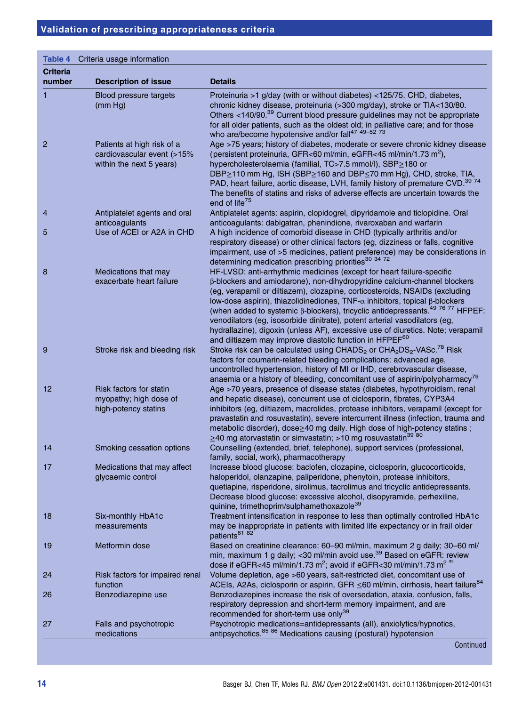| Table 4<br>Criteria usage information |  |
|---------------------------------------|--|
|---------------------------------------|--|

| <b>Criteria</b><br>number | <b>Description of issue</b>                                                          | <b>Details</b>                                                                                                                                                                                                                                                                                                                                                                                                                                                                                                                                                                                                                                                |
|---------------------------|--------------------------------------------------------------------------------------|---------------------------------------------------------------------------------------------------------------------------------------------------------------------------------------------------------------------------------------------------------------------------------------------------------------------------------------------------------------------------------------------------------------------------------------------------------------------------------------------------------------------------------------------------------------------------------------------------------------------------------------------------------------|
| 1                         | Blood pressure targets<br>(mm Hg)                                                    | Proteinuria >1 g/day (with or without diabetes) <125/75. CHD, diabetes,<br>chronic kidney disease, proteinuria (>300 mg/day), stroke or TIA<130/80.<br>Others <140/90. <sup>39</sup> Current blood pressure guidelines may not be appropriate<br>for all older patients, such as the oldest old; in palliative care; and for those<br>who are/become hypotensive and/or fall <sup>47 49-52 73</sup>                                                                                                                                                                                                                                                           |
| 2                         | Patients at high risk of a<br>cardiovascular event (>15%<br>within the next 5 years) | Age >75 years; history of diabetes, moderate or severe chronic kidney disease<br>(persistent proteinuria, GFR<60 ml/min, eGFR<45 ml/min/1.73 m <sup>2</sup> ),<br>hypercholesterolaemia (familial, TC>7.5 mmol/l), SBP≥180 or<br>DBP≥110 mm Hg, ISH (SBP≥160 and DBP≤70 mm Hg), CHD, stroke, TIA,<br>PAD, heart failure, aortic disease, LVH, family history of premature CVD. <sup>39 74</sup><br>The benefits of statins and risks of adverse effects are uncertain towards the<br>end of life <sup>75</sup>                                                                                                                                                |
| 4                         | Antiplatelet agents and oral<br>anticoagulants                                       | Antiplatelet agents: aspirin, clopidogrel, dipyridamole and ticlopidine. Oral<br>anticoagulants: dabigatran, phenindione, rivaroxaban and warfarin                                                                                                                                                                                                                                                                                                                                                                                                                                                                                                            |
| 5                         | Use of ACEI or A2A in CHD                                                            | A high incidence of comorbid disease in CHD (typically arthritis and/or<br>respiratory disease) or other clinical factors (eg, dizziness or falls, cognitive<br>impairment, use of >5 medicines, patient preference) may be considerations in<br>determining medication prescribing priorities <sup>30</sup> 34 72                                                                                                                                                                                                                                                                                                                                            |
| 8                         | Medications that may<br>exacerbate heart failure                                     | HF-LVSD: anti-arrhythmic medicines (except for heart failure-specific<br>β-blockers and amiodarone), non-dihydropyridine calcium-channel blockers<br>(eg, verapamil or diltiazem), clozapine, corticosteroids, NSAIDs (excluding<br>low-dose aspirin), thiazolidinediones, TNF- $\alpha$ inhibitors, topical β-blockers<br>(when added to systemic β-blockers), tricyclic antidepressants. <sup>49 76 77</sup> HFPEF:<br>venodilators (eg, isosorbide dinitrate), potent arterial vasodilators (eg,<br>hydrallazine), digoxin (unless AF), excessive use of diuretics. Note; verapamil<br>and diltiazem may improve diastolic function in HFPEF <sup>60</sup> |
| 9                         | Stroke risk and bleeding risk                                                        | Stroke risk can be calculated using $CHADS2$ or $CHA2DS2$ -VASc. <sup>78</sup> Risk<br>factors for coumarin-related bleeding complications: advanced age,<br>uncontrolled hypertension, history of MI or IHD, cerebrovascular disease,<br>anaemia or a history of bleeding, concomitant use of aspirin/polypharmacy <sup>79</sup>                                                                                                                                                                                                                                                                                                                             |
| 12                        | Risk factors for statin<br>myopathy; high dose of<br>high-potency statins            | Age >70 years, presence of disease states (diabetes, hypothyroidism, renal<br>and hepatic disease), concurrent use of ciclosporin, fibrates, CYP3A4<br>inhibitors (eg, diltiazem, macrolides, protease inhibitors, verapamil (except for<br>pravastatin and rosuvastatin), severe intercurrent illness (infection, trauma and<br>metabolic disorder), dose > 40 mg daily. High dose of high-potency statins;<br>≥40 mg atorvastatin or simvastatin; >10 mg rosuvastatin <sup>39 80</sup>                                                                                                                                                                      |
| 14                        | Smoking cessation options                                                            | Counselling (extended, brief, telephone), support services (professional,<br>family, social, work), pharmacotherapy                                                                                                                                                                                                                                                                                                                                                                                                                                                                                                                                           |
| 17                        | Medications that may affect<br>glycaemic control                                     | Increase blood glucose: baclofen, clozapine, ciclosporin, glucocorticoids,<br>haloperidol, olanzapine, paliperidone, phenytoin, protease inhibitors,<br>quetiapine, risperidone, sirolimus, tacrolimus and tricyclic antidepressants.<br>Decrease blood glucose: excessive alcohol, disopyramide, perhexiline,<br>quinine, trimethoprim/sulphamethoxazole <sup>39</sup>                                                                                                                                                                                                                                                                                       |
| 18                        | Six-monthly HbA1c<br>measurements                                                    | Treatment intensification in response to less than optimally controlled HbA1c<br>may be inappropriate in patients with limited life expectancy or in frail older<br>patients <sup>81</sup> 82                                                                                                                                                                                                                                                                                                                                                                                                                                                                 |
| 19                        | Metformin dose                                                                       | Based on creatinine clearance: 60-90 ml/min, maximum 2 g daily; 30-60 ml/<br>min, maximum 1 g daily; < 30 ml/min avoid use. $^{39}$ Based on eGFR: review<br>dose if eGFR<45 ml/min/1.73 m <sup>2</sup> ; avoid if eGFR<30 ml/min/1.73 m <sup>2 as</sup>                                                                                                                                                                                                                                                                                                                                                                                                      |
| 24                        | Risk factors for impaired renal<br>function                                          | Volume depletion, age >60 years, salt-restricted diet, concomitant use of<br>ACEIs, A2As, ciclosporin or aspirin, GFR ≤60 ml/min, cirrhosis, heart failure <sup>84</sup>                                                                                                                                                                                                                                                                                                                                                                                                                                                                                      |
| 26                        | Benzodiazepine use                                                                   | Benzodiazepines increase the risk of oversedation, ataxia, confusion, falls,<br>respiratory depression and short-term memory impairment, and are<br>recommended for short-term use only <sup>39</sup>                                                                                                                                                                                                                                                                                                                                                                                                                                                         |
| 27                        | Falls and psychotropic<br>medications                                                | Psychotropic medications=antidepressants (all), anxiolytics/hypnotics,<br>antipsychotics. <sup>85</sup> 86 Medications causing (postural) hypotension<br>Continued                                                                                                                                                                                                                                                                                                                                                                                                                                                                                            |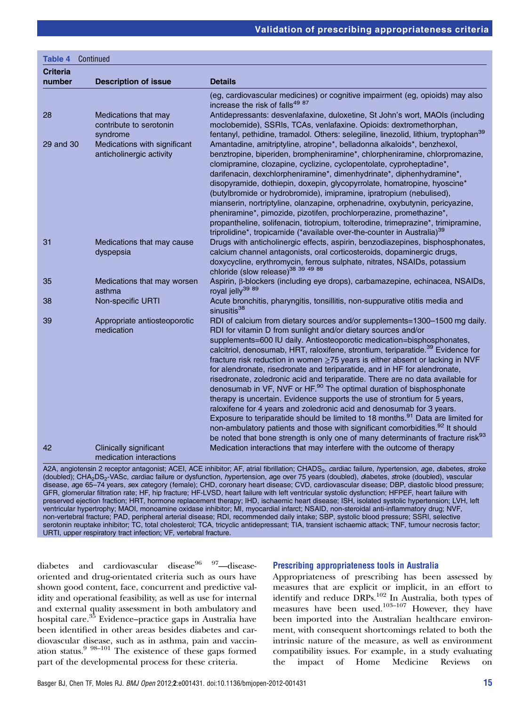| Continued<br>Table 4      |                                                             |                                                                                                                                                                                                                                                                                                                                                                                                                                                                                                                                                                                                                                                                                                                                                                                                                                                                                                                                                                                                                                                                                                           |
|---------------------------|-------------------------------------------------------------|-----------------------------------------------------------------------------------------------------------------------------------------------------------------------------------------------------------------------------------------------------------------------------------------------------------------------------------------------------------------------------------------------------------------------------------------------------------------------------------------------------------------------------------------------------------------------------------------------------------------------------------------------------------------------------------------------------------------------------------------------------------------------------------------------------------------------------------------------------------------------------------------------------------------------------------------------------------------------------------------------------------------------------------------------------------------------------------------------------------|
| <b>Criteria</b><br>number | <b>Description of issue</b>                                 | <b>Details</b>                                                                                                                                                                                                                                                                                                                                                                                                                                                                                                                                                                                                                                                                                                                                                                                                                                                                                                                                                                                                                                                                                            |
|                           |                                                             | (eg, cardiovascular medicines) or cognitive impairment (eg, opioids) may also<br>increase the risk of falls <sup>49 87</sup>                                                                                                                                                                                                                                                                                                                                                                                                                                                                                                                                                                                                                                                                                                                                                                                                                                                                                                                                                                              |
| 28                        | Medications that may<br>contribute to serotonin<br>syndrome | Antidepressants: desvenlafaxine, duloxetine, St John's wort, MAOIs (including<br>moclobemide), SSRIs, TCAs, venlafaxine. Opioids: dextromethorphan,<br>fentanyl, pethidine, tramadol. Others: selegiline, linezolid, lithium, tryptophan <sup>39</sup>                                                                                                                                                                                                                                                                                                                                                                                                                                                                                                                                                                                                                                                                                                                                                                                                                                                    |
| 29 and 30                 | Medications with significant<br>anticholinergic activity    | Amantadine, amitriptyline, atropine*, belladonna alkaloids*, benzhexol,<br>benztropine, biperiden, brompheniramine*, chlorpheniramine, chlorpromazine,<br>clomipramine, clozapine, cyclizine, cyclopentolate, cyproheptadine*,<br>darifenacin, dexchlorpheniramine*, dimenhydrinate*, diphenhydramine*,<br>disopyramide, dothiepin, doxepin, glycopyrrolate, homatropine, hyoscine*<br>(butylbromide or hydrobromide), imipramine, ipratropium (nebulised),<br>mianserin, nortriptyline, olanzapine, orphenadrine, oxybutynin, pericyazine,<br>pheniramine*, pimozide, pizotifen, prochlorperazine, promethazine*,<br>propantheline, solifenacin, tiotropium, tolterodine, trimeprazine*, trimipramine,<br>triprolidine*, tropicamide (*available over-the-counter in Australia) <sup>39</sup>                                                                                                                                                                                                                                                                                                            |
| 31                        | Medications that may cause<br>dyspepsia                     | Drugs with anticholinergic effects, aspirin, benzodiazepines, bisphosphonates,<br>calcium channel antagonists, oral corticosteroids, dopaminergic drugs,<br>doxycycline, erythromycin, ferrous sulphate, nitrates, NSAIDs, potassium<br>chloride (slow release) <sup>38</sup> 39 49 88                                                                                                                                                                                                                                                                                                                                                                                                                                                                                                                                                                                                                                                                                                                                                                                                                    |
| 35                        | Medications that may worsen<br>asthma                       | Aspirin, β-blockers (including eye drops), carbamazepine, echinacea, NSAIDs,<br>royal jelly <sup>39 89</sup>                                                                                                                                                                                                                                                                                                                                                                                                                                                                                                                                                                                                                                                                                                                                                                                                                                                                                                                                                                                              |
| 38                        | Non-specific URTI                                           | Acute bronchitis, pharyngitis, tonsillitis, non-suppurative otitis media and<br>sinusitis <sup>38</sup>                                                                                                                                                                                                                                                                                                                                                                                                                                                                                                                                                                                                                                                                                                                                                                                                                                                                                                                                                                                                   |
| 39                        | Appropriate antiosteoporotic<br>medication                  | RDI of calcium from dietary sources and/or supplements=1300-1500 mg daily.<br>RDI for vitamin D from sunlight and/or dietary sources and/or<br>supplements=600 IU daily. Antiosteoporotic medication=bisphosphonates,<br>calcitriol, denosumab, HRT, raloxifene, strontium, teriparatide. <sup>39</sup> Evidence for<br>fracture risk reduction in women ≥75 years is either absent or lacking in NVF<br>for alendronate, risedronate and teriparatide, and in HF for alendronate,<br>risedronate, zoledronic acid and teriparatide. There are no data available for<br>denosumab in VF, NVF or HF. <sup>90</sup> The optimal duration of bisphosphonate<br>therapy is uncertain. Evidence supports the use of strontium for 5 years,<br>raloxifene for 4 years and zoledronic acid and denosumab for 3 years.<br>Exposure to teriparatide should be limited to 18 months. <sup>91</sup> Data are limited for<br>non-ambulatory patients and those with significant comorbidities. <sup>92</sup> It should<br>be noted that bone strength is only one of many determinants of fracture risk <sup>93</sup> |
| 42                        | Clinically significant<br>medication interactions           | Medication interactions that may interfere with the outcome of therapy                                                                                                                                                                                                                                                                                                                                                                                                                                                                                                                                                                                                                                                                                                                                                                                                                                                                                                                                                                                                                                    |

A2A, angiotensin 2 receptor antagonist; ACEI, ACE inhibitor; AF, atrial fibrillation; CHADS<sub>2</sub>, cardiac failure, hypertension, age, diabetes, stroke (doubled); CHA2DS2-VASc, cardiac failure or dysfunction, hypertension, age over 75 years (doubled), diabetes, stroke (doubled), vascular disease, age 65–74 years, sex category (female); CHD, coronary heart disease; CVD, cardiovascular disease; DBP, diastolic blood pressure; GFR, glomerular filtration rate; HF, hip fracture; HF-LVSD, heart failure with left ventricular systolic dysfunction; HFPEF, heart failure with preserved ejection fraction; HRT, hormone replacement therapy; IHD, ischaemic heart disease; ISH, isolated systolic hypertension; LVH, left ventricular hypertrophy; MAOI, monoamine oxidase inhibitor; MI, myocardial infarct; NSAID, non-steroidal anti-inflammatory drug; NVF, non-vertebral fracture; PAD, peripheral arterial disease; RDI, recommended daily intake; SBP, systolic blood pressure; SSRI, selective serotonin reuptake inhibitor; TC, total cholesterol; TCA, tricyclic antidepressant; TIA, transient ischaemic attack; TNF, tumour necrosis factor; URTI, upper respiratory tract infection; VF, vertebral fracture.

diabetes and cardiovascular disease<sup>96 97</sup>—diseaseoriented and drug-orientated criteria such as ours have shown good content, face, concurrent and predictive validity and operational feasibility, as well as use for internal and external quality assessment in both ambulatory and hospital care.<sup>35</sup> Evidence-practice gaps in Australia have been identified in other areas besides diabetes and cardiovascular disease, such as in asthma, pain and vaccination status.9 98–<sup>101</sup> The existence of these gaps formed part of the developmental process for these criteria.

# Prescribing appropriateness tools in Australia

Appropriateness of prescribing has been assessed by measures that are explicit or implicit, in an effort to identify and reduce DRPs.<sup>102</sup> In Australia, both types of measures have been used.<sup>103-107</sup> However, they have been imported into the Australian healthcare environment, with consequent shortcomings related to both the intrinsic nature of the measure, as well as environment compatibility issues. For example, in a study evaluating the impact of Home Medicine Reviews on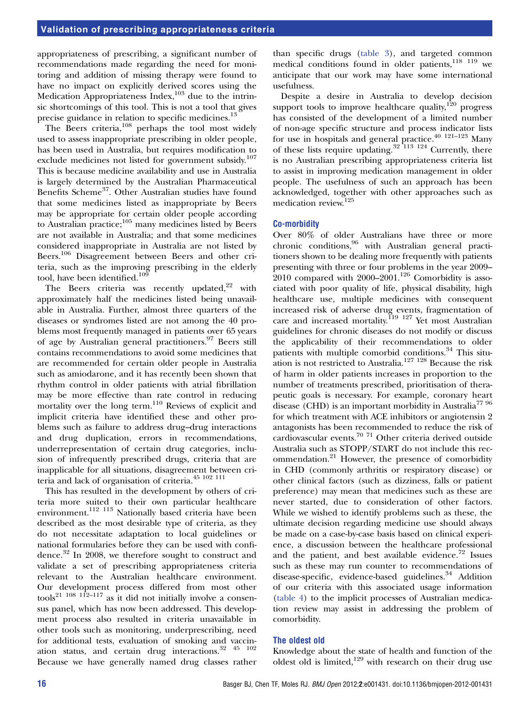appropriateness of prescribing, a significant number of recommendations made regarding the need for monitoring and addition of missing therapy were found to have no impact on explicitly derived scores using the Medication Appropriateness Index, $103$  due to the intrinsic shortcomings of this tool. This is not a tool that gives precise guidance in relation to specific medicines.<sup>13</sup>

The Beers criteria,<sup>108</sup> perhaps the tool most widely used to assess inappropriate prescribing in older people, has been used in Australia, but requires modification to exclude medicines not listed for government subsidy.<sup>107</sup> This is because medicine availability and use in Australia is largely determined by the Australian Pharmaceutical Benefits Scheme<sup>37</sup>. Other Australian studies have found that some medicines listed as inappropriate by Beers may be appropriate for certain older people according to Australian practice; $105$  many medicines listed by Beers are not available in Australia; and that some medicines considered inappropriate in Australia are not listed by Beers.<sup>106</sup> Disagreement between Beers and other criteria, such as the improving prescribing in the elderly tool, have been identified.<sup>109</sup>

The Beers criteria was recently updated, $22$  with approximately half the medicines listed being unavailable in Australia. Further, almost three quarters of the diseases or syndromes listed are not among the 40 problems most frequently managed in patients over 65 years of age by Australian general practitioners.<sup>97</sup> Beers still contains recommendations to avoid some medicines that are recommended for certain older people in Australia such as amiodarone, and it has recently been shown that rhythm control in older patients with atrial fibrillation may be more effective than rate control in reducing mortality over the long term.<sup>110</sup> Reviews of explicit and implicit criteria have identified these and other problems such as failure to address drug–drug interactions and drug duplication, errors in recommendations, underrepresentation of certain drug categories, inclusion of infrequently prescribed drugs, criteria that are inapplicable for all situations, disagreement between criteria and lack of organisation of criteria.45 102 111

This has resulted in the development by others of criteria more suited to their own particular healthcare environment.112 113 Nationally based criteria have been described as the most desirable type of criteria, as they do not necessitate adaptation to local guidelines or national formularies before they can be used with confidence.<sup>32</sup> In 2008, we therefore sought to construct and validate a set of prescribing appropriateness criteria relevant to the Australian healthcare environment. Our development process differed from most other tools<sup>21</sup> <sup>108</sup> <sup>112–117</sup> as it did not initially involve a consensus panel, which has now been addressed. This development process also resulted in criteria unavailable in other tools such as monitoring, underprescribing, need for additional tests, evaluation of smoking and vaccination status, and certain drug interactions.32 45 102 Because we have generally named drug classes rather

than specific drugs (table 3), and targeted common medical conditions found in older patients, 118 119 we anticipate that our work may have some international usefulness.

Despite a desire in Australia to develop decision support tools to improve healthcare quality, $120$  progress has consisted of the development of a limited number of non-age specific structure and process indicator lists for use in hospitals and general practice.40 121–<sup>123</sup> Many of these lists require updating.32 113 124 Currently, there is no Australian prescribing appropriateness criteria list to assist in improving medication management in older people. The usefulness of such an approach has been acknowledged, together with other approaches such as medication review.125

# Co-morbidity

Over 80% of older Australians have three or more chronic conditions,<sup>96</sup> with Australian general practitioners shown to be dealing more frequently with patients presenting with three or four problems in the year 2009–  $2010$  compared with  $2000-2001$ .<sup>126</sup> Comorbidity is associated with poor quality of life, physical disability, high healthcare use, multiple medicines with consequent increased risk of adverse drug events, fragmentation of care and increased mortality.<sup>119</sup> <sup>127</sup> Yet most Australian guidelines for chronic diseases do not modify or discuss the applicability of their recommendations to older patients with multiple comorbid conditions.<sup>34</sup> This situation is not restricted to Australia.<sup>127 128</sup> Because the risk of harm in older patients increases in proportion to the number of treatments prescribed, prioritisation of therapeutic goals is necessary. For example, coronary heart disease (CHD) is an important morbidity in Australia<sup>77 96</sup> for which treatment with ACE inhibitors or angiotensin 2 antagonists has been recommended to reduce the risk of cardiovascular events.<sup>70 71</sup> Other criteria derived outside Australia such as STOPP/START do not include this recommendation.<sup>21</sup> However, the presence of comorbidity in CHD (commonly arthritis or respiratory disease) or other clinical factors (such as dizziness, falls or patient preference) may mean that medicines such as these are never started, due to consideration of other factors. While we wished to identify problems such as these, the ultimate decision regarding medicine use should always be made on a case-by-case basis based on clinical experience, a discussion between the healthcare professional and the patient, and best available evidence. $72$  Issues such as these may run counter to recommendations of disease-specific, evidence-based guidelines.<sup>34</sup> Addition of our criteria with this associated usage information (table 4) to the implicit processes of Australian medication review may assist in addressing the problem of comorbidity.

#### The oldest old

Knowledge about the state of health and function of the oldest old is limited, $129$  with research on their drug use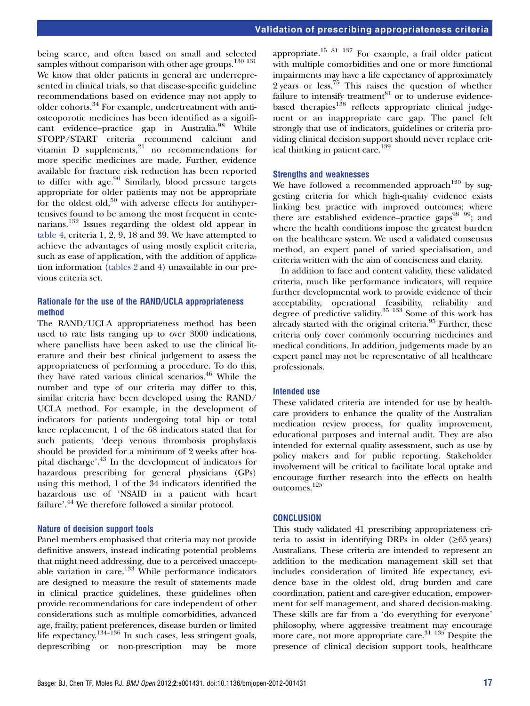being scarce, and often based on small and selected samples without comparison with other age groups.<sup>130 131</sup> We know that older patients in general are underrepresented in clinical trials, so that disease-specific guideline recommendations based on evidence may not apply to older cohorts.<sup>34</sup> For example, undertreatment with antiosteoporotic medicines has been identified as a significant evidence–practice gap in Australia.<sup>98</sup> While STOPP/START criteria recommend calcium and vitamin  $D$  supplements,<sup>21</sup> no recommendations for more specific medicines are made. Further, evidence available for fracture risk reduction has been reported to differ with age.<sup>90</sup> Similarly, blood pressure targets appropriate for older patients may not be appropriate for the oldest old,<sup>50</sup> with adverse effects for antihypertensives found to be among the most frequent in centenarians.<sup>132</sup> Issues regarding the oldest old appear in table 4, criteria 1, 2,  $\overline{9}$ , 18 and 39. We have attempted to achieve the advantages of using mostly explicit criteria, such as ease of application, with the addition of application information (tables 2 and 4) unavailable in our previous criteria set.

# Rationale for the use of the RAND/UCLA appropriateness method

The RAND/UCLA appropriateness method has been used to rate lists ranging up to over 3000 indications, where panellists have been asked to use the clinical literature and their best clinical judgement to assess the appropriateness of performing a procedure. To do this, they have rated various clinical scenarios.46 While the number and type of our criteria may differ to this, similar criteria have been developed using the RAND/ UCLA method. For example, in the development of indicators for patients undergoing total hip or total knee replacement, 1 of the 68 indicators stated that for such patients, 'deep venous thrombosis prophylaxis should be provided for a minimum of 2 weeks after hospital discharge'. <sup>43</sup> In the development of indicators for hazardous prescribing for general physicians (GPs) using this method, 1 of the 34 indicators identified the hazardous use of 'NSAID in a patient with heart failure'.<sup>44</sup> We therefore followed a similar protocol.

#### Nature of decision support tools

Panel members emphasised that criteria may not provide definitive answers, instead indicating potential problems that might need addressing, due to a perceived unacceptable variation in care.<sup>133</sup> While performance indicators are designed to measure the result of statements made in clinical practice guidelines, these guidelines often provide recommendations for care independent of other considerations such as multiple comorbidities, advanced age, frailty, patient preferences, disease burden or limited life expectancy.<sup>134–136</sup> In such cases, less stringent goals, deprescribing or non-prescription may be more

appropriate.<sup>15 81 137</sup> For example, a frail older patient with multiple comorbidities and one or more functional impairments may have a life expectancy of approximately  $2$  years or less.<sup>75</sup> This raises the question of whether failure to intensify treatment $81$  or to underuse evidencebased therapies<sup>138</sup> reflects appropriate clinical judgement or an inappropriate care gap. The panel felt strongly that use of indicators, guidelines or criteria providing clinical decision support should never replace critical thinking in patient care.<sup>139</sup>

## Strengths and weaknesses

We have followed a recommended approach<sup>120</sup> by suggesting criteria for which high-quality evidence exists linking best practice with improved outcomes; where there are established evidence–practice gaps $^{98}$   $^{99}$ ; and where the health conditions impose the greatest burden on the healthcare system. We used a validated consensus method, an expert panel of varied specialisation, and criteria written with the aim of conciseness and clarity.

In addition to face and content validity, these validated criteria, much like performance indicators, will require further developmental work to provide evidence of their acceptability, operational feasibility, reliability and degree of predictive validity.<sup>35 133</sup> Some of this work has already started with the original criteria.<sup>95</sup> Further, these criteria only cover commonly occurring medicines and medical conditions. In addition, judgements made by an expert panel may not be representative of all healthcare professionals.

#### Intended use

These validated criteria are intended for use by healthcare providers to enhance the quality of the Australian medication review process, for quality improvement, educational purposes and internal audit. They are also intended for external quality assessment, such as use by policy makers and for public reporting. Stakeholder involvement will be critical to facilitate local uptake and encourage further research into the effects on health outcomes.125

#### **CONCLUSION**

This study validated 41 prescribing appropriateness criteria to assist in identifying DRPs in older  $(\geq 65 \text{ years})$ Australians. These criteria are intended to represent an addition to the medication management skill set that includes consideration of limited life expectancy, evidence base in the oldest old, drug burden and care coordination, patient and care-giver education, empowerment for self management, and shared decision-making. These skills are far from a 'do everything for everyone' philosophy, where aggressive treatment may encourage more care, not more appropriate care.<sup>31</sup>  $135$  Despite the presence of clinical decision support tools, healthcare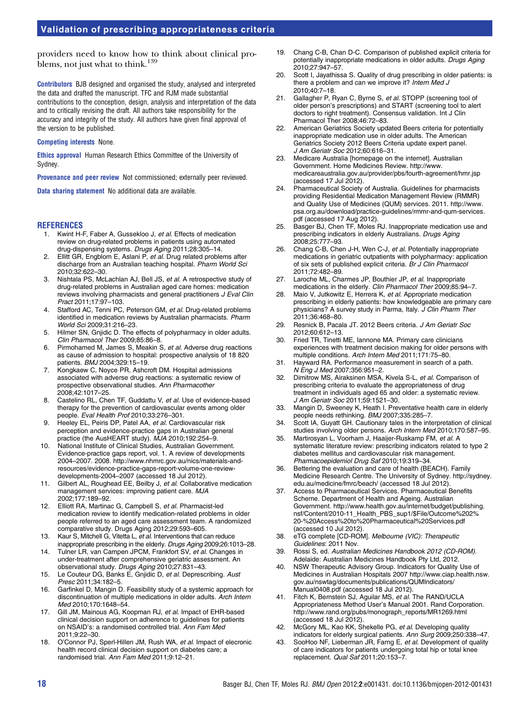providers need to know how to think about clinical problems, not just what to think.<sup>139</sup>

Contributors BJB designed and organised the study, analysed and interpreted the data and drafted the manuscript. TFC and RJM made substantial contributions to the conception, design, analysis and interpretation of the data and to critically revising the draft. All authors take responsibility for the accuracy and integrity of the study. All authors have given final approval of the version to be published.

#### Competing interests None.

Ethics approval Human Research Ethics Committee of the University of Sydney.

Provenance and peer review Not commissioned; externally peer reviewed.

Data sharing statement No additional data are available.

#### **REFERENCES**

- 1. Kwint H-F, Faber A, Gussekloo J, et al. Effects of medication review on drug-related problems in patients using automated drug-dispensing systems. Drugs Aging 2011;28:305–14.
- 2. Ellitt GR, Engblom E, Aslani P, et al. Drug related problems after discharge from an Australian teaching hospital. Pharm World Sci 2010;32:622–30.
- Nishtala PS, McLachlan AJ, Bell JS, et al. A retrospective study of drug-related problems in Australian aged care homes: medication reviews involving pharmacists and general practitioners J Eval Clin Pract 2011;17:97–103.
- 4. Stafford AC, Tenni PC, Peterson GM, et al. Drug-related problems identified in medication reviews by Australian pharmacists. Pharm World Sci 2009;31:216–23.
- 5. Hilmer SN, Gnjidic D. The effects of polypharmacy in older adults. Clin Pharmacol Ther 2009;85:86–8.
- 6. Pirmohamed M, James S, Meakin S, et al. Adverse drug reactions as cause of admission to hospital: prospective analysis of 18 820 patients. BMJ 2004;329:15–19.
- 7. Kongkaew C, Noyce PR, Ashcroft DM. Hospital admissions associated with adverse drug reactions: a systematic review of prospective observational studies. Ann Pharmacother 2008;42:1017–25.
- Castelino RL, Chen TF, Guddattu V, et al. Use of evidence-based therapy for the prevention of cardiovascular events among older people. Eval Health Prof 2010;33:276–301.
- 9. Heeley EL, Peiris DP, Patel AA, et al. Cardiovascular risk perception and evidence-practice gaps in Australian general practice (the AusHEART study). MJA 2010;192:254–9.
- 10. National Institute of Clinical Studies, Australian Government. Evidence-practice gaps report, vol. 1. A review of developments 2004–2007. 2008. [http://www.nhmrc.gov.au/nics/materials-and](http://www.nhmrc.gov.au/nics/materials-and-resources/evidence-practice-gaps-report-volume-one-review-developments-2004–2007)[resources/evidence-practice-gaps-report-volume-one-review](http://www.nhmrc.gov.au/nics/materials-and-resources/evidence-practice-gaps-report-volume-one-review-developments-2004–2007)[developments-2004](http://www.nhmrc.gov.au/nics/materials-and-resources/evidence-practice-gaps-report-volume-one-review-developments-2004–2007)–2007 (accessed 18 Jul 2012).
- 11. Gilbert AL, Roughead EE, Beilby J, et al. Collaborative medication management services: improving patient care. MJA 2002;177:189–92.
- 12. Elliott RA, Martinac G, Campbell S, et al. Pharmacist-led medication review to identify medication-related problems in older people referred to an aged care assessment team. A randomiized comparative study. Drugs Aging 2012;29:593–605.
- 13. Kaur S, Mitchell G, Vitetta L, et al. Interventions that can reduce inappropriate prescribing in the elderly. Drugs Aging 2009;26:1013–28.
- 14. Tulner LR, van Campen JPCM, Frankfort SV, et al. Changes in under-treatment after comprehensive geriatric assessment. An observational study. Drugs Aging 2010;27:831–43.
- 15. Le Couteur DG, Banks E, Gnjidic D, et al. Deprescribing. Aust Presc 2011;34:182–5.
- 16. Garfinkel D, Mangin D. Feasibility study of a systemic approach for discontinuation of multiple medications in older adults. Arch Intern Med 2010;170:1648–54.
- 17. Gill JM, Mainous AG, Koopman RJ, et al. Impact of EHR-based clinical decision support on adherence to guidelines for patients on NSAID's: a randomised controlled trial. Ann Fam Med 2011;9:22–30.
- 18. O'Connor PJ, Sperl-Hillen JM, Rush WA, et al. Impact of elecronic health record clinical decision support on diabetes care; a randomised trial. Ann Fam Med 2011;9:12–21.
- 19. Chang C-B, Chan D-C. Comparison of published explicit criteria for potentially inappropriate medications in older adults. Drugs Aging 2010;27:947–57.
- 20. Scott I, Jayathissa S. Quality of drug prescribing in older patients: is there a problem and can we improve it? Intern Med J 2010;40:7–18.
- 21. Gallagher P, Ryan C, Byrne S, et al. STOPP (screening tool of older person's prescriptions) and START (screening tool to alert doctors to right treatment). Consensus validation. Int J Clin Pharmacol Ther 2008;46:72–83.
- 22. American Geriatrics Society updated Beers criteria for potentially inappropriate medication use in older adults. The American Geriatrics Society 2012 Beers Criteria update expert panel. J Am Geriatr Soc 2012;60:616–31.
- 23. Medicare Australia [homepage on the internet]. Australian Government. Home Medicines Review. [http://www.](http://www.medicareaustralia.gov.au/provider/pbs/fourth-agreement/hmr.jsp) [medicareaustralia.gov.au/provider/pbs/fourth-agreement/hmr.jsp](http://www.medicareaustralia.gov.au/provider/pbs/fourth-agreement/hmr.jsp) (accessed 17 Jul 2012).
- 24. Pharmaceutical Society of Australia. Guidelines for pharmacists providing Residential Medication Management Review (RMMR) and Quality Use of Medicines (QUM) services. 2011. [http://www.](http://www.psa.org.au/download/practice-guidelines/rmmr-and-qum-services.pdf) [psa.org.au/download/practice-guidelines/rmmr-and-qum-services.](http://www.psa.org.au/download/practice-guidelines/rmmr-and-qum-services.pdf) [pdf](http://www.psa.org.au/download/practice-guidelines/rmmr-and-qum-services.pdf) (accessed 17 Aug 2012).
- 25. Basger BJ, Chen TF, Moles RJ. Inappropriate medication use and prescribing indicators in elderly Australians. Drugs Aging 2008;25:777–93.
- 26. Chang C-B, Chen J-H, Wen C-J, et al. Potentially inappropriate medications in geriatric outpatients with polypharmacy: application of six sets of published explicit criteria. Br J Clin Pharmacol 2011;72:482–89.
- Laroche ML, Charmes JP, Bouthier JP, et al. Inappropriate medications in the elderly. Clin Pharmacol Ther 2009;85:94-7.
- 28. Maio V, Jutkowitz E, Herrera K, et al. Appropriate medication prescribing in elderly patients: how knowledgeable are primary care physicians? A survey study in Parma, Italy. J Clin Pharm Ther 2011;36:468–80.
- 29. Resnick B, Pacala JT. 2012 Beers criteria. J Am Geriatr Soc 2012;60:612–13.
- 30. Fried TR, Tinetti ME, Iannone MA. Primary care clinicians experiences with treatment decision making for older persons with multiple conditions. Arch Intern Med 2011;171:75–80.
- 31. Hayward RA. Performance measurement in search of a path. N Eng J Med 2007;356:951–2.
- 32. Dimitrow MS, Airaksinen MSA, Kivela S-L, et al. Comparison of prescribing criteria to evaluate the appropriateness of drug treatment in individuals aged 65 and older: a systematic review. J Am Geriatr Soc 2011;59:1521–30.
- 33. Mangin D, Sweeney K, Heath I. Preventative health care in elderly people needs rethinking. BMJ 2007;335:285–7.
- 34. Scott IA, Guyatt GH. Cautionary tales in the interpretation of clinical studies involving older persons. Arch Intern Med 2010;170:587–95.
- 35. Martirosyan L, Voorham J, Haaijer-Ruskamp FM, et al. A systematic literature review: prescribing indicators related to type 2 diabetes mellitus and cardiovascular risk management. Pharmacoepidemiol Drug Saf 2010;19:319–34.
- 36. Bettering the evaluation and care of health (BEACH). Family Medicine Research Centre. The University of Sydney. [http://sydney.](http://sydney.edu.au/medicine/fmrc/beach/) [edu.au/medicine/fmrc/beach/](http://sydney.edu.au/medicine/fmrc/beach/) (accessed 18 Jul 2012).
- 37. Access to Pharmaceutical Services. Pharmaceutical Benefits Scheme. Department of Health and Ageing. Australian Government. [http://www.health.gov.au/internet/budget/publishing.](http://www.health.gov.au/internet/budget/publishing.nsf/Content/2010-11_Health_PBS_sup1/$File/Outcome%202%20-%20Access%20to%20Pharmaceutical%20Services.pdf) [nsf/Content/2010-11\\_Health\\_PBS\\_sup1/\\$File/Outcome%202%](http://www.health.gov.au/internet/budget/publishing.nsf/Content/2010-11_Health_PBS_sup1/$File/Outcome%202%20-%20Access%20to%20Pharmaceutical%20Services.pdf) [20-%20Access%20to%20Pharmaceutical%20Services.pdf](http://www.health.gov.au/internet/budget/publishing.nsf/Content/2010-11_Health_PBS_sup1/$File/Outcome%202%20-%20Access%20to%20Pharmaceutical%20Services.pdf) (accessed 10 Jul 2012).
- 38. eTG complete [CD-ROM]. Melbourne (VIC): Therapeutic Guidelines: 2011 Nov.
- 39. Rossi S, ed. Australian Medicines Handbook 2012 (CD-ROM). Adelaide: Australian Medicines Handbook Pty Ltd, 2012.
- 40. NSW Therapeutic Advisory Group. Indicators for Quality Use of Medicines in Australian Hospitals 2007 [http://www.ciap.health.nsw.](http://www.ciap.health.nsw.gov.au/nswtag/documents/publications/QUMIndicators/Manual0408.pdf) [gov.au/nswtag/documents/publications/QUMIndicators/](http://www.ciap.health.nsw.gov.au/nswtag/documents/publications/QUMIndicators/Manual0408.pdf) [Manual0408.pdf](http://www.ciap.health.nsw.gov.au/nswtag/documents/publications/QUMIndicators/Manual0408.pdf) (accessed 18 Jul 2012).
- 41. Fitch K, Bernstein SJ, Aguilar MS, et al. The RAND/UCLA Appropriateness Method User's Manual 2001. Rand Corporation. [http://www.rand.org/pubs/monograph\\_reports/MR1269.html](http://www.rand.org/pubs/monograph_reports/MR1269.html) (accessed 18 Jul 2012).
- 42. McGory ML, Kao KK, Shekelle PG, et al. Developing quality indicators for elderly surgical patients. Ann Surg 2009;250:338–47.
- 43. SooHoo NF, Lieberman JR, Farng E, et al. Development of quality of care indicators for patients undergoing total hip or total knee replacement. Qual Saf 2011;20:153–7.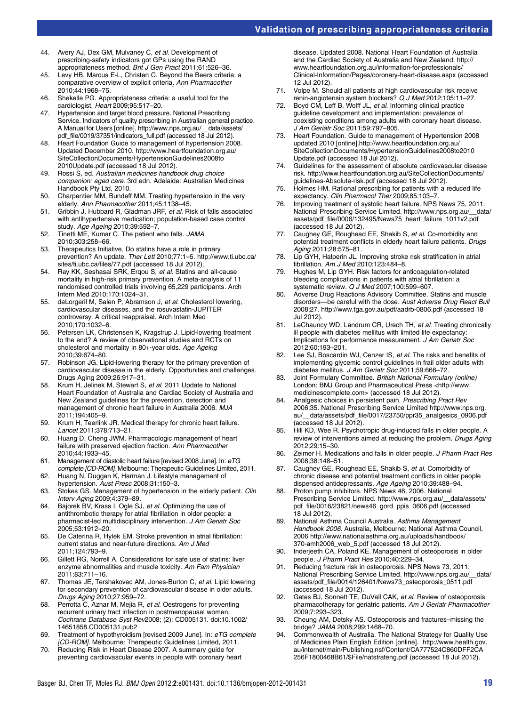# Validation of prescribing appropriateness criteria

- 44. Avery AJ, Dex GM, Mulvaney C, et al. Development of prescribing-safety indicators got GPs using the RAND appropriateness method. Brit J Gen Pract 2011;61:526–36.
- 45. Levy HB, Marcus E-L, Christen C. Beyond the Beers criteria: a comparative overview of explicit criteria. Ann Pharmacother 2010;44:1968–75.
- 46. Shekelle PG. Appropriateness criteria: a useful tool for the cardiologist. Heart 2009;95:517–20.
- 47. Hypertension and target blood pressure. National Prescribing Service. Indicators of quality prescribing in Australian general practice. A Manual for Users [online]. [http://www.nps.org.au/\\_\\_data/assets/](http://www.nps.org.au/__data/assets/pdf_file/0019/37351/indicators_full.pdf) [pdf\\_file/0019/37351/indicators\\_full.pdf](http://www.nps.org.au/__data/assets/pdf_file/0019/37351/indicators_full.pdf) (accessed 18 Jul 2012)
- 48. Heart Foundation Guide to management of hypertension 2008. Updated December 2010. [http://www.heartfoundation.org.au/](http://www.heartfoundation.org.au/SiteCollectionDocuments/HypertensionGuidelines2008to2010Update.pdf) [SiteCollectionDocuments/HypertensionGuidelines2008to](http://www.heartfoundation.org.au/SiteCollectionDocuments/HypertensionGuidelines2008to2010Update.pdf) [2010Update.pdf](http://www.heartfoundation.org.au/SiteCollectionDocuments/HypertensionGuidelines2008to2010Update.pdf) (accessed 18 Jul 2012).
- 49. Rossi S, ed. Australian medicines handbook drug choice companion: aged care. 3rd edn. Adelaide: Australian Medicines Handbook Pty Ltd, 2010.
- 50. Charpentier MM, Bundeff MM. Treating hypertension in the very elderly. Ann Pharmacother 2011;45:1138–45.
- 51. Gribbin J, Hubbard R, Gladman JRF, et al. Risk of falls associated with antihypertensive medication; population-based case control study. Age Ageing 2010;39:592–7.
- 52. Tinetti ME, Kumar C. The patient who falls. JAMA 2010;303:258–66.
- 53. Therapeutics Initiative. Do statins have a role in primary prevention? An update. Ther Lett 2010;77:1–5. [http://www.ti.ubc.ca/](http://www.ti.ubc.ca/sites/ti.ubc.ca/files/77.pdf) [sites/ti.ubc.ca/files/77.pdf](http://www.ti.ubc.ca/sites/ti.ubc.ca/files/77.pdf) (accessed 18 Jul 2012).
- 54. Ray KK, Seshasai SRK, Erqou S, et al. Statins and all-cause mortality in high-risk primary prevention. A meta-analysis of 11 randomised controlled trials involving 65,229 participants. Arch Intern Med 2010;170:1024–31.
- 55. deLorgeril M, Salen P, Abramson J, et al. Cholesterol lowering, cardiovascular diseases, and the rosuvastatin-JUPITER controversy. A critical reappraisal. Arch Intern Med 2010;170:1032–6.
- 56. Petersen LK, Christensen K, Kragstrup J. Lipid-lowering treatment to the end? A review of observational studies and RCTs on cholesterol and mortality in 80+-year olds. Age Ageing 2010;39:674–80.
- 57. Robinson JG. Lipid-lowering therapy for the primary prevention of cardiovascular disease in the elderly. Opportunities and challenges. Drugs Aging 2009;26:917–31.
- 58. Krum H, Jelinek M, Stewart S, et al. 2011 Update to National Heart Foundation of Australia and Cardiac Society of Australia and New Zealand guidelines for the prevention, detection and management of chronic heart failure in Australia 2006. MJA 2011;194:405–9.
- 59. Krum H, Teerlink JR. Medical therapy for chronic heart failure. Lancet 2011;378:713–21.
- 60. Huang D, Cheng JWM. Pharmacologic management of heart failure with preserved ejection fraction. Ann Pharmacother 2010;44:1933–45.
- 61. Management of diastolic heart failure [revised 2008 June]. In: eTG complete [CD-ROM]. Melbourne: Therapeutic Guidelines Limited, 2011.
- 62. Huang N, Duggan K, Harman J. Lifestyle management of hypertension. Aust Presc 2008;31:150–3.
- 63. Stokes GS. Management of hypertension in the elderly patient. Clin Interv Aging 2009;4:379–89.
- 64. Bajorek BV, Krass I, Ogle SJ, et al. Optimizing the use of antithrombotic therapy for atrial fibrillation in older people: a pharmacist-led multidisciplinary intervention. J Am Geriatr Soc 2005;53:1912–20.
- 65. De Caterina R, Hylek EM. Stroke prevention in atrial fibrillation: current status and near-future directions. Am J Med 2011;124:793–9.
- 66. Gillett RG, Norrell A. Considerations for safe use of statins: liver enzyme abnormalities and muscle toxicity. Am Fam Physician 2011;83:711–16.
- 67. Thomas JE, Tershakovec AM, Jones-Burton C, et al. Lipid lowering for secondary prevention of cardiovascular disease in older adults. Drugs Aging 2010;27:959–72.
- 68. Perrotta C, Aznar M, Mejia R, et al. Oestrogens for preventing recurrent urinary tract infection in postmenopausal women. Cochrane Database Syst Rev2008; (2): CD005131. doi:[10.1002/](http://dx.doi.org/10.1002/14651858.CD005131.pub2) [14651858.CD005131.pub2](http://dx.doi.org/10.1002/14651858.CD005131.pub2)
- Treatment of hypothyroidism [revised 2009 June]. In: eTG complete [CD-ROM]. Melbourne: Therapeutic Guidelines Limited, 2011.
- 70. Reducing Risk in Heart Disease 2007. A summary guide for preventing cardiovascular events in people with coronary heart

disease. Updated 2008. National Heart Foundation of Australia and the Cardiac Society of Australia and New Zealand. [http://](http://www.heartfoundation.org.au/information-for-professionals/Clinical-Information/Pages/coronary-heart-disease.aspx) [www.heartfoundation.org.au/information-for-professionals/](http://www.heartfoundation.org.au/information-for-professionals/Clinical-Information/Pages/coronary-heart-disease.aspx) [Clinical-Information/Pages/coronary-heart-disease.aspx](http://www.heartfoundation.org.au/information-for-professionals/Clinical-Information/Pages/coronary-heart-disease.aspx) (accessed 12 Jul 2012).

- 71. Volpe M. Should all patients at high cardiovascular risk receive renin-angiotensin system blockers? Q J Med 2012;105:11–27.
- 72. Boyd CM, Leff B, Wolff JL, et al. Informing clinical practice guideline development and implementation: prevalence of coexisting conditions among adults with coronary heart disease. J Am Geriatr Soc 2011;59:797–805.
- Heart Foundation. Guide to management of Hypertension 2008 updated 2010 [online].[http://www.heartfoundation.org.au/](http://www.heartfoundation.org.au/SiteCollectionDocuments/HypertensionGuidelines2008to2010Update.pdf) [SiteCollectionDocuments/HypertensionGuidelines2008to2010](http://www.heartfoundation.org.au/SiteCollectionDocuments/HypertensionGuidelines2008to2010Update.pdf) [Update.pdf](http://www.heartfoundation.org.au/SiteCollectionDocuments/HypertensionGuidelines2008to2010Update.pdf) (accessed 18 Jul 2012).
- 74. Guidelines for the assessment of absolute cardiovascular disease risk. [http://www.heartfoundation.org.au/SiteCollectionDocuments/](http://www.heartfoundation.org.au/SiteCollectionDocuments/guidelines-Absolute-risk.pdf) [guidelines-Absolute-risk.pdf](http://www.heartfoundation.org.au/SiteCollectionDocuments/guidelines-Absolute-risk.pdf) (accessed 18 Jul 2012).
- 75. Holmes HM. Rational prescribing for patients with a reduced life expectancy. Clin Pharmacol Ther 2009;85:103–7.
- 76. Improving treatment of systolic heart failure. NPS News 75, 2011. National Prescribing Service Limited. [http://www.nps.org.au/\\_\\_data/](http://www.nps.org.au/__data/assets/pdf_file/0006/132495/News75_heart_failure_1011v2.pdf) [assets/pdf\\_file/0006/132495/News75\\_heart\\_failure\\_1011v2.pdf](http://www.nps.org.au/__data/assets/pdf_file/0006/132495/News75_heart_failure_1011v2.pdf) (accessed 18 Jul 2012).
- 77. Caughey GE, Roughead EE, Shakib S, et al. Co-morbidity and potential treatment conflicts in elderly heart failure patients. Drugs Aging 2011;28:575–81.
- 78. Lip GYH, Halperin JL. Improving stroke risk stratification in atrial fibrillation. Am J Med 2010;123:484–8.
- 79. Hughes M, Lip GYH. Risk factors for anticoagulation-related bleeding complications in patients with atrial fibrillation: a systematic review. Q J Med 2007;100:599–607.
- 80. Adverse Drug Reactions Advisory Committee. Statins and muscle disorders—be careful with the dose. Aust Adverse Drug React Bull 2008;27.<http://www.tga.gov.au/pdf/aadrb-0806.pdf> (accessed 18 Jul 2012).
- 81. LeChauncy WD, Landrum CR, Urech TH, et al. Treating chronically ill people with diabetes mellitus with limited life expectancy: Implications for performance measurement. J Am Geriatr Soc 2012;60:193–201.
- 82. Lee SJ, Boscardin WJ, Cenzer IS, et al. The risks and benefits of implementing glycemic control guidelines in frail older adults with diabetes mellitus. J Am Geriatr Soc 2011;59:666–72.
- 83. Joint Formulary Committee. British National Formulary (online) London: BMJ Group and Pharmaceutical Press <[http://www.](http://www.medicinescomplete.com) [medicinescomplete.com>](http://www.medicinescomplete.com) (accessed 18 Jul 2012).
- 84. Analgesic choices in persistent pain. Prescribing Pract Rev 2006;35. National Prescribing Service Limited [http://www.nps.org.](http://www.nps.org.au/__data/assets/pdf_file/0017/23750/ppr35_analgesics_0906.pdf) [au/\\_\\_data/assets/pdf\\_file/0017/23750/ppr35\\_analgesics\\_0906.pdf](http://www.nps.org.au/__data/assets/pdf_file/0017/23750/ppr35_analgesics_0906.pdf) (accessed 18 Jul 2012).
- 85. Hill KD, Wee R. Psychotropic drug-induced falls in older people. A review of interventions aimed at reducing the problem. Drugs Aging 2012;29:15–30.
- 86. Zeimer H. Medications and falls in older people. J Pharm Pract Res 2008;38:148–51.
- Caughey GE, Roughead EE, Shakib S, et al. Comorbidity of chronic disease and potential treatment conflicts in older people dispensed antidepressants. Age Ageing 2010;39:488–94.
- 88. Proton pump inhibitors. NPS News 46, 2006. National Prescribing Service Limited. [http://www.nps.org.au/\\_\\_data/assets/](http://www.nps.org.au/__data/assets/pdf_file/0016/23821/news46_gord_ppis_0606.pdf) [pdf\\_file/0016/23821/news46\\_gord\\_ppis\\_0606.pdf](http://www.nps.org.au/__data/assets/pdf_file/0016/23821/news46_gord_ppis_0606.pdf) (accessed 18 Jul 2012).
- 89. National Asthma Council Australia. Asthma Management Handbook 2006. Australia, Melbourne: National Asthma Council, 2006 [http://www.nationalasthma.org.au/uploads/handbook/](http://www.nationalasthma.org.au/uploads/handbook/370-amh2006_web_5.pdf) [370-amh2006\\_web\\_5.pdf](http://www.nationalasthma.org.au/uploads/handbook/370-amh2006_web_5.pdf) (accessed 18 Jul 2012).
- 90. Inderjeeth CA, Poland KE. Management of osteoporosis in older people. J Pharm Pract Res 2010;40:229–34.
- 91. Reducing fracture risk in osteoporosis. NPS News 73, 2011. National Prescribing Service Limited. [http://www.nps.org.au/\\_\\_data/](http://www.nps.org.au/__data/assets/pdf_file/0014/126401/News73_osteoporosis_0511.pdf) [assets/pdf\\_file/0014/126401/News73\\_osteoporosis\\_0511.pdf](http://www.nps.org.au/__data/assets/pdf_file/0014/126401/News73_osteoporosis_0511.pdf) (accessed 18 Jul 2012).
- 92. Gates BJ, Sonnett TE, DuVall CAK, et al. Review of osteoporosis pharmacotherapy for geriatric patients. Am J Geriatr Pharmacother 2009;7:293–323.
- 93. Cheung AM, Detsky AS. Osteoporosis and fractures–missing the bridge? JAMA 2008;299:1468–70.
- 94. Commonwealth of Australia. The National Strategy for Quality Use of Medicines Plain English Edition [online]. [http://www.health.gov.](http://www.health.gov.au/internet/main/Publishing.nsf/Content/CA777524C860DFF2CA256F1800468B61/$File/natstrateng.pdf) [au/internet/main/Publishing.nsf/Content/CA777524C860DFF2CA](http://www.health.gov.au/internet/main/Publishing.nsf/Content/CA777524C860DFF2CA256F1800468B61/$File/natstrateng.pdf) [256F1800468B61/\\$File/natstrateng.pdf](http://www.health.gov.au/internet/main/Publishing.nsf/Content/CA777524C860DFF2CA256F1800468B61/$File/natstrateng.pdf) (accessed 18 Jul 2012).